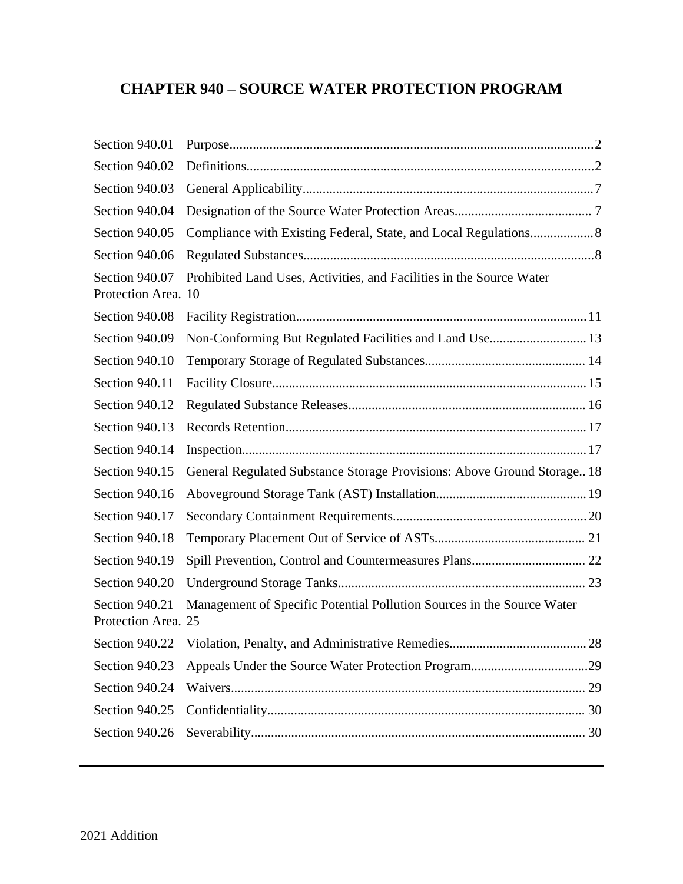# **CHAPTER 940 – SOURCE WATER PROTECTION PROGRAM**

| Section 940.01                        |                                                                         |  |
|---------------------------------------|-------------------------------------------------------------------------|--|
| Section 940.02                        |                                                                         |  |
| Section 940.03                        |                                                                         |  |
| Section 940.04                        |                                                                         |  |
| Section 940.05                        |                                                                         |  |
| Section 940.06                        |                                                                         |  |
| Section 940.07<br>Protection Area. 10 | Prohibited Land Uses, Activities, and Facilities in the Source Water    |  |
| Section 940.08                        |                                                                         |  |
| Section 940.09                        | Non-Conforming But Regulated Facilities and Land Use 13                 |  |
| Section 940.10                        |                                                                         |  |
| Section 940.11                        |                                                                         |  |
| Section 940.12                        |                                                                         |  |
| Section 940.13                        |                                                                         |  |
| Section 940.14                        |                                                                         |  |
| Section 940.15                        | General Regulated Substance Storage Provisions: Above Ground Storage 18 |  |
| Section 940.16                        |                                                                         |  |
| Section 940.17                        |                                                                         |  |
| Section 940.18                        |                                                                         |  |
| Section 940.19                        |                                                                         |  |
| Section 940.20                        |                                                                         |  |
| Section 940.21<br>Protection Area. 25 | Management of Specific Potential Pollution Sources in the Source Water  |  |
| Section 940.22                        |                                                                         |  |
| Section 940.23                        |                                                                         |  |
| Section 940.24                        |                                                                         |  |
| Section 940.25                        |                                                                         |  |
| Section 940.26                        |                                                                         |  |
|                                       |                                                                         |  |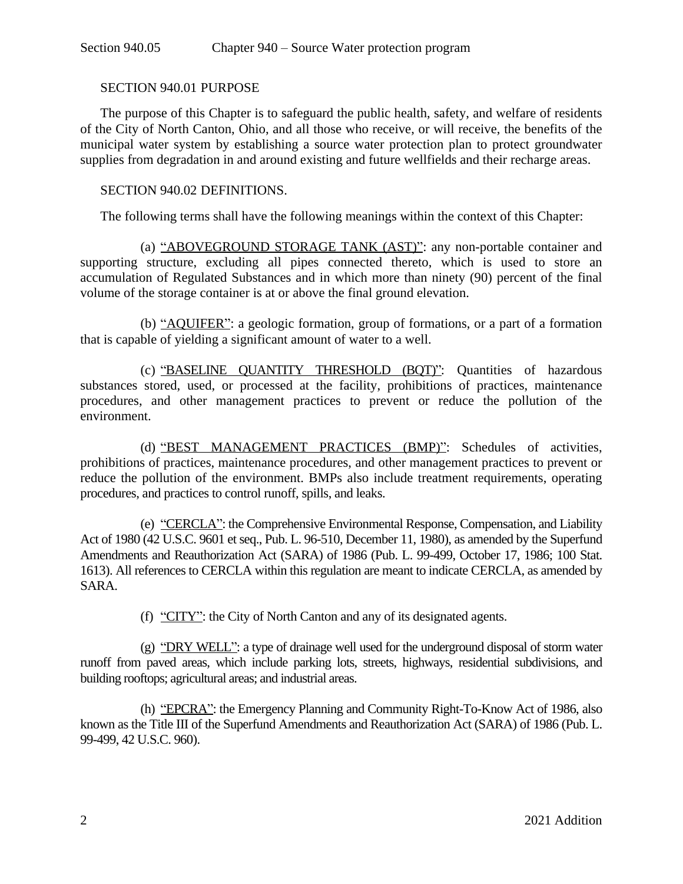#### <span id="page-1-0"></span>SECTION 940.01 PURPOSE

The purpose of this Chapter is to safeguard the public health, safety, and welfare of residents of the City of North Canton, Ohio, and all those who receive, or will receive, the benefits of the municipal water system by establishing a source water protection plan to protect groundwater supplies from degradation in and around existing and future wellfields and their recharge areas.

#### <span id="page-1-1"></span>SECTION 940.02 DEFINITIONS.

The following terms shall have the following meanings within the context of this Chapter:

(a) "ABOVEGROUND STORAGE TANK (AST)": any non-portable container and supporting structure, excluding all pipes connected thereto, which is used to store an accumulation of Regulated Substances and in which more than ninety (90) percent of the final volume of the storage container is at or above the final ground elevation.

(b) "AQUIFER": a geologic formation, group of formations, or a part of a formation that is capable of yielding a significant amount of water to a well.

(c) "BASELINE QUANTITY THRESHOLD (BQT)": Quantities of hazardous substances stored, used, or processed at the facility, prohibitions of practices, maintenance procedures, and other management practices to prevent or reduce the pollution of the environment.

(d) "BEST MANAGEMENT PRACTICES (BMP)": Schedules of activities, prohibitions of practices, maintenance procedures, and other management practices to prevent or reduce the pollution of the environment. BMPs also include treatment requirements, operating procedures, and practices to control runoff, spills, and leaks.

(e) "CERCLA": the Comprehensive Environmental Response, Compensation, and Liability Act of 1980 (42 U.S.C. 9601 et seq., Pub. L. 96-510, December 11, 1980), as amended by the Superfund Amendments and Reauthorization Act (SARA) of 1986 (Pub. L. 99-499, October 17, 1986; 100 Stat. 1613). All references to CERCLA within this regulation are meant to indicate CERCLA, as amended by SARA.

(f) "CITY": the City of North Canton and any of its designated agents.

(g) "DRY WELL": a type of drainage well used for the underground disposal of storm water runoff from paved areas, which include parking lots, streets, highways, residential subdivisions, and building rooftops; agricultural areas; and industrial areas.

(h) "EPCRA": the Emergency Planning and Community Right-To-Know Act of 1986, also known as the Title III of the Superfund Amendments and Reauthorization Act (SARA) of 1986 (Pub. L. 99-499, 42 U.S.C. 960).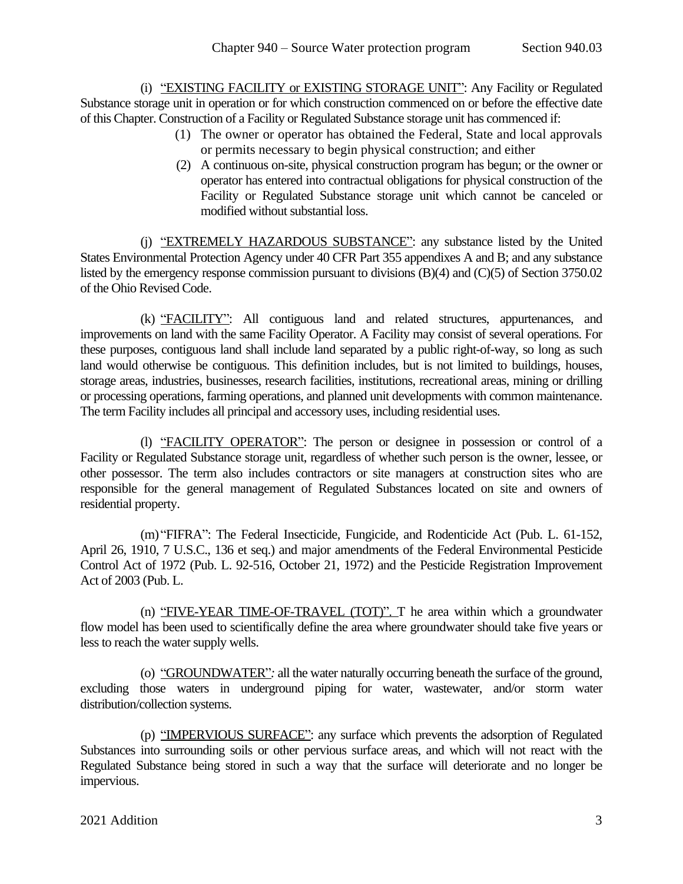(i) "EXISTING FACILITY or EXISTING STORAGE UNIT": Any Facility or Regulated Substance storage unit in operation or for which construction commenced on or before the effective date of this Chapter. Construction of a Facility or Regulated Substance storage unit has commenced if:

- (1) The owner or operator has obtained the Federal, State and local approvals or permits necessary to begin physical construction; and either
- (2) A continuous on-site, physical construction program has begun; or the owner or operator has entered into contractual obligations for physical construction of the Facility or Regulated Substance storage unit which cannot be canceled or modified without substantial loss.

(j) "EXTREMELY HAZARDOUS SUBSTANCE": any substance listed by the United States Environmental Protection Agency under 40 CFR Part 355 appendixes A and B; and any substance listed by the emergency response commission pursuant to divisions (B)(4) and (C)(5) of Section 3750.02 of the Ohio Revised Code.

(k) "FACILITY": All contiguous land and related structures, appurtenances, and improvements on land with the same Facility Operator. A Facility may consist of several operations. For these purposes, contiguous land shall include land separated by a public right-of-way, so long as such land would otherwise be contiguous. This definition includes, but is not limited to buildings, houses, storage areas, industries, businesses, research facilities, institutions, recreational areas, mining or drilling or processing operations, farming operations, and planned unit developments with common maintenance. The term Facility includes all principal and accessory uses, including residential uses.

(l) "FACILITY OPERATOR": The person or designee in possession or control of a Facility or Regulated Substance storage unit, regardless of whether such person is the owner, lessee, or other possessor. The term also includes contractors or site managers at construction sites who are responsible for the general management of Regulated Substances located on site and owners of residential property.

(m) "FIFRA": The Federal Insecticide, Fungicide, and Rodenticide Act (Pub. L. 61-152, April 26, 1910, 7 U.S.C., 136 et seq.) and major amendments of the Federal Environmental Pesticide Control Act of 1972 (Pub. L. 92-516, October 21, 1972) and the Pesticide Registration Improvement Act of 2003 (Pub. L.

(n) "FIVE-YEAR TIME-OF-TRAVEL (TOT)". T he area within which a groundwater flow model has been used to scientifically define the area where groundwater should take five years or less to reach the water supply wells.

(o) "GROUNDWATER"*:* all the water naturally occurring beneath the surface of the ground, excluding those waters in underground piping for water, wastewater, and/or storm water distribution/collection systems.

(p) "IMPERVIOUS SURFACE": any surface which prevents the adsorption of Regulated Substances into surrounding soils or other pervious surface areas, and which will not react with the Regulated Substance being stored in such a way that the surface will deteriorate and no longer be impervious.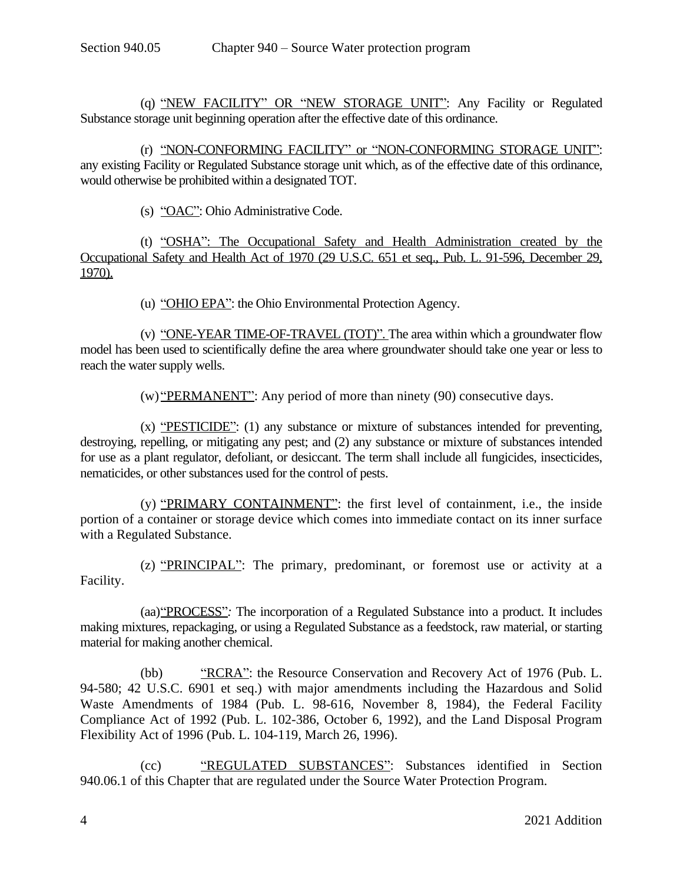(q) "NEW FACILITY" OR "NEW STORAGE UNIT": Any Facility or Regulated Substance storage unit beginning operation after the effective date of this ordinance.

(r) "NON-CONFORMING FACILITY" or "NON-CONFORMING STORAGE UNIT": any existing Facility or Regulated Substance storage unit which, as of the effective date of this ordinance, would otherwise be prohibited within a designated TOT.

(s) "OAC": Ohio Administrative Code.

(t) "OSHA": The Occupational Safety and Health Administration created by the Occupational Safety and Health Act of 1970 (29 U.S.C. 651 et seq., Pub. L. 91-596, December 29, 1970).

(u) "OHIO EPA": the Ohio Environmental Protection Agency.

(v) "ONE-YEAR TIME-OF-TRAVEL (TOT)". The area within which a groundwater flow model has been used to scientifically define the area where groundwater should take one year or less to reach the water supply wells.

(w) "PERMANENT": Any period of more than ninety (90) consecutive days.

(x) "PESTICIDE": (1) any substance or mixture of substances intended for preventing, destroying, repelling, or mitigating any pest; and (2) any substance or mixture of substances intended for use as a plant regulator, defoliant, or desiccant. The term shall include all fungicides, insecticides, nematicides, or other substances used for the control of pests.

(y) "PRIMARY CONTAINMENT": the first level of containment, i.e., the inside portion of a container or storage device which comes into immediate contact on its inner surface with a Regulated Substance.

(z) "PRINCIPAL": The primary, predominant, or foremost use or activity at a Facility.

(aa)"PROCESS"*:* The incorporation of a Regulated Substance into a product. It includes making mixtures, repackaging, or using a Regulated Substance as a feedstock, raw material, or starting material for making another chemical.

(bb) "RCRA": the Resource Conservation and Recovery Act of 1976 (Pub. L. 94-580; 42 U.S.C. 6901 et seq.) with major amendments including the Hazardous and Solid Waste Amendments of 1984 (Pub. L. 98-616, November 8, 1984), the Federal Facility Compliance Act of 1992 (Pub. L. 102-386, October 6, 1992), and the Land Disposal Program Flexibility Act of 1996 (Pub. L. 104-119, March 26, 1996).

(cc) "REGULATED SUBSTANCES": Substances identified in Section 940.06.1 of this Chapter that are regulated under the Source Water Protection Program.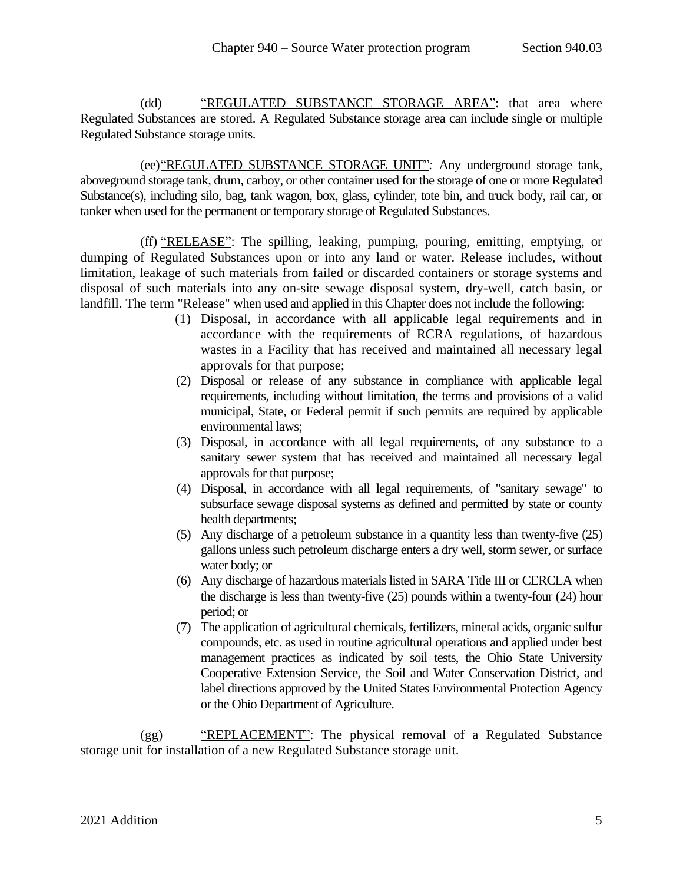(dd) "REGULATED SUBSTANCE STORAGE AREA": that area where Regulated Substances are stored. A Regulated Substance storage area can include single or multiple Regulated Substance storage units.

(ee)"REGULATED SUBSTANCE STORAGE UNIT"*:* Any underground storage tank, aboveground storage tank, drum, carboy, or other container used for the storage of one or more Regulated Substance(s), including silo, bag, tank wagon, box, glass, cylinder, tote bin, and truck body, rail car, or tanker when used for the permanent or temporary storage of Regulated Substances.

(ff) "RELEASE": The spilling, leaking, pumping, pouring, emitting, emptying, or dumping of Regulated Substances upon or into any land or water. Release includes, without limitation, leakage of such materials from failed or discarded containers or storage systems and disposal of such materials into any on-site sewage disposal system, dry-well, catch basin, or landfill. The term "Release" when used and applied in this Chapter does not include the following:

- (1) Disposal, in accordance with all applicable legal requirements and in accordance with the requirements of RCRA regulations, of hazardous wastes in a Facility that has received and maintained all necessary legal approvals for that purpose;
- (2) Disposal or release of any substance in compliance with applicable legal requirements, including without limitation*,* the terms and provisions of a valid municipal, State, or Federal permit if such permits are required by applicable environmental laws;
- (3) Disposal, in accordance with all legal requirements, of any substance to a sanitary sewer system that has received and maintained all necessary legal approvals for that purpose;
- (4) Disposal, in accordance with all legal requirements, of "sanitary sewage" to subsurface sewage disposal systems as defined and permitted by state or county health departments;
- (5) Any discharge of a petroleum substance in a quantity less than twenty-five (25) gallons unless such petroleum discharge enters a dry well, storm sewer, or surface water body; or
- (6) Any discharge of hazardous materials listed in SARA Title III or CERCLA when the discharge is less than twenty-five (25) pounds within a twenty-four (24) hour period; or
- (7) The application of agricultural chemicals, fertilizers, mineral acids, organic sulfur compounds, etc. as used in routine agricultural operations and applied under best management practices as indicated by soil tests, the Ohio State University Cooperative Extension Service, the Soil and Water Conservation District, and label directions approved by the United States Environmental Protection Agency or the Ohio Department of Agriculture.

(gg) "REPLACEMENT": The physical removal of a Regulated Substance storage unit for installation of a new Regulated Substance storage unit.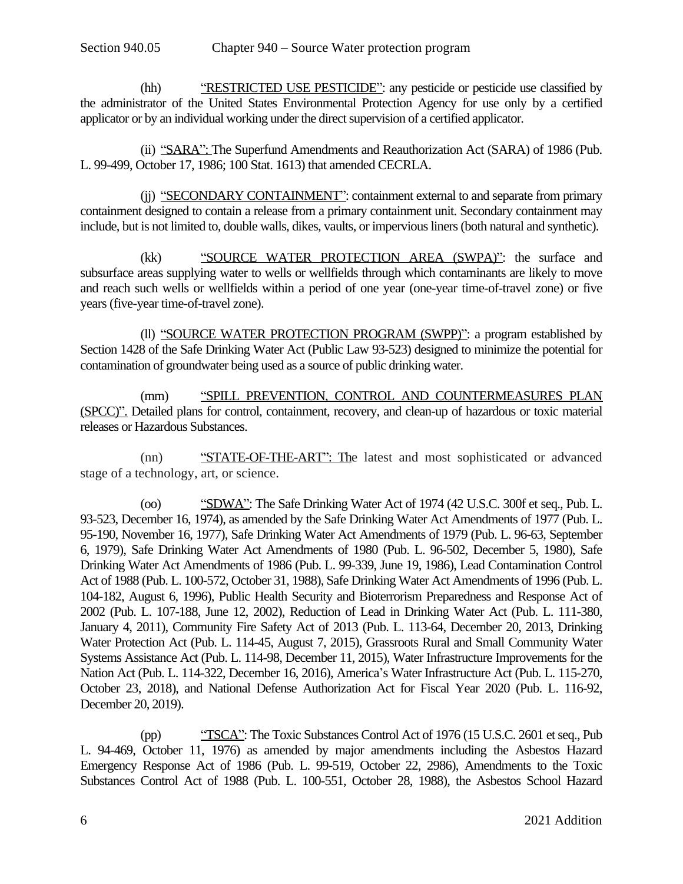(hh) "RESTRICTED USE PESTICIDE": any pesticide or pesticide use classified by the administrator of the United States Environmental Protection Agency for use only by a certified applicator or by an individual working under the direct supervision of a certified applicator.

(ii) "SARA": The Superfund Amendments and Reauthorization Act (SARA) of 1986 (Pub. L. 99-499, October 17, 1986; 100 Stat. 1613) that amended CECRLA.

(ij) "SECONDARY CONTAINMENT": containment external to and separate from primary containment designed to contain a release from a primary containment unit. Secondary containment may include, but is not limited to, double walls, dikes, vaults, or impervious liners (both natural and synthetic).

(kk) "SOURCE WATER PROTECTION AREA (SWPA)": the surface and subsurface areas supplying water to wells or wellfields through which contaminants are likely to move and reach such wells or wellfields within a period of one year (one-year time-of-travel zone) or five years(five-year time-of-travel zone).

(ll) "SOURCE WATER PROTECTION PROGRAM (SWPP)": a program established by Section 1428 of the Safe Drinking Water Act (Public Law 93-523) designed to minimize the potential for contamination of groundwater being used as a source of public drinking water.

(mm) "SPILL PREVENTION, CONTROL AND COUNTERMEASURES PLAN (SPCC)". Detailed plans for control, containment, recovery, and clean-up of hazardous or toxic material releases or Hazardous Substances.

(nn) "STATE-OF-THE-ART": The latest and most sophisticated or advanced stage of a technology, art, or science.

(oo) "SDWA": The Safe Drinking Water Act of 1974 (42 U.S.C. 300f et seq., Pub. L. 93-523, December 16, 1974), as amended by the Safe Drinking Water Act Amendments of 1977 (Pub. L. 95-190, November 16, 1977), Safe Drinking Water Act Amendments of 1979 (Pub. L. 96-63, September 6, 1979), Safe Drinking Water Act Amendments of 1980 (Pub. L. 96-502, December 5, 1980), Safe Drinking Water Act Amendments of 1986 (Pub. L. 99-339, June 19, 1986), Lead Contamination Control Act of 1988 (Pub. L. 100-572, October 31, 1988), Safe Drinking Water Act Amendments of 1996 (Pub. L. 104-182, August 6, 1996), Public Health Security and Bioterrorism Preparedness and Response Act of 2002 (Pub. L. 107-188, June 12, 2002), Reduction of Lead in Drinking Water Act (Pub. L. 111-380, January 4, 2011), Community Fire Safety Act of 2013 (Pub. L. 113-64, December 20, 2013, Drinking Water Protection Act (Pub. L. 114-45, August 7, 2015), Grassroots Rural and Small Community Water Systems Assistance Act (Pub. L. 114-98, December 11, 2015), Water Infrastructure Improvements for the Nation Act (Pub. L. 114-322, December 16, 2016), America's Water Infrastructure Act (Pub. L. 115-270, October 23, 2018), and National Defense Authorization Act for Fiscal Year 2020 (Pub. L. 116-92, December 20, 2019).

(pp) "TSCA": The Toxic Substances Control Act of 1976 (15 U.S.C. 2601 et seq., Pub L. 94-469, October 11, 1976) as amended by major amendments including the Asbestos Hazard Emergency Response Act of 1986 (Pub. L. 99-519, October 22, 2986), Amendments to the Toxic Substances Control Act of 1988 (Pub. L. 100-551, October 28, 1988), the Asbestos School Hazard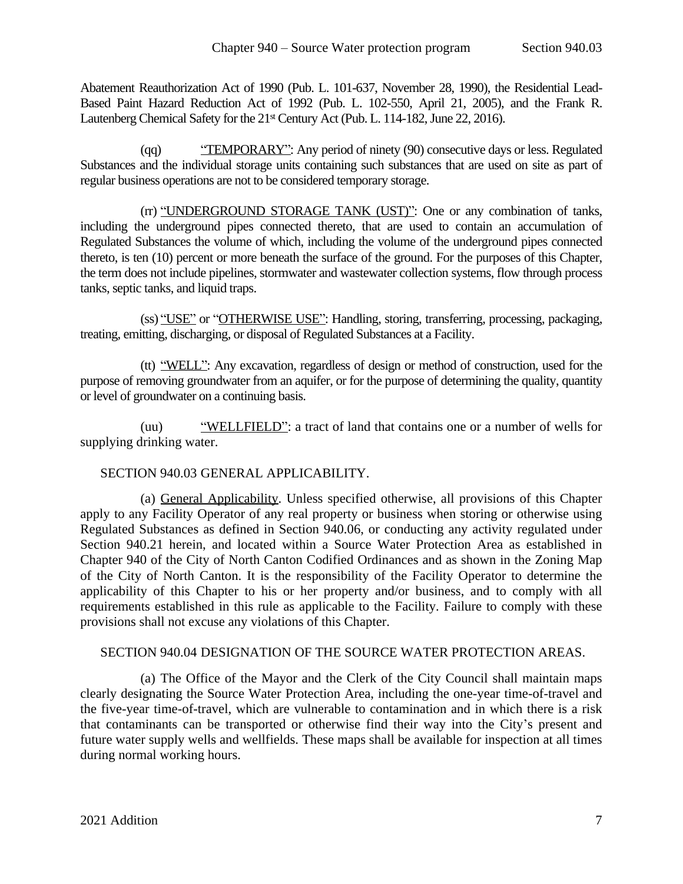Abatement Reauthorization Act of 1990 (Pub. L. 101-637, November 28, 1990), the Residential Lead-Based Paint Hazard Reduction Act of 1992 (Pub. L. 102-550, April 21, 2005), and the Frank R. Lautenberg Chemical Safety for the 21<sup>st</sup> Century Act (Pub. L. 114-182, June 22, 2016).

(qq) "TEMPORARY": Any period of ninety (90) consecutive days or less. Regulated Substances and the individual storage units containing such substances that are used on site as part of regular business operations are not to be considered temporary storage.

(rr) "UNDERGROUND STORAGE TANK (UST)": One or any combination of tanks, including the underground pipes connected thereto, that are used to contain an accumulation of Regulated Substances the volume of which, including the volume of the underground pipes connected thereto, is ten (10) percent or more beneath the surface of the ground. For the purposes of this Chapter, the term does not include pipelines, stormwater and wastewater collection systems, flow through process tanks, septic tanks, and liquid traps.

(ss) "USE" or "OTHERWISE USE": Handling, storing, transferring, processing, packaging, treating, emitting, discharging, or disposal of Regulated Substances at a Facility.

(tt) "WELL": Any excavation, regardless of design or method of construction, used for the purpose of removing groundwater from an aquifer, or for the purpose of determining the quality, quantity or level of groundwater on a continuing basis.

(uu) "WELLFIELD": a tract of land that contains one or a number of wells for supplying drinking water.

### <span id="page-6-0"></span>SECTION 940.03 GENERAL APPLICABILITY.

(a) General Applicability. Unless specified otherwise, all provisions of this Chapter apply to any Facility Operator of any real property or business when storing or otherwise using Regulated Substances as defined in [Section](#page-7-1) 940.06, or conducting any activity regulated under [Section](#page-24-1) 940.21 herein, and located within a Source Water Protection Area as established in Chapter 940 of the City of North Canton Codified Ordinances and as shown in the Zoning Map of the City of North Canton. It is the responsibility of the Facility Operator to determine the applicability of this Chapter to his or her property and/or business, and to comply with all requirements established in this rule as applicable to the Facility. Failure to comply with these provisions shall not excuse any violations of this Chapter.

#### <span id="page-6-1"></span>SECTION 940.04 DESIGNATION OF THE SOURCE WATER PROTECTION AREAS.

(a) The Office of the Mayor and the Clerk of the City Council shall maintain maps clearly designating the Source Water Protection Area, including the one-year time-of-travel and the five-year time-of-travel, which are vulnerable to contamination and in which there is a risk that contaminants can be transported or otherwise find their way into the City's present and future water supply wells and wellfields. These maps shall be available for inspection at all times during normal working hours.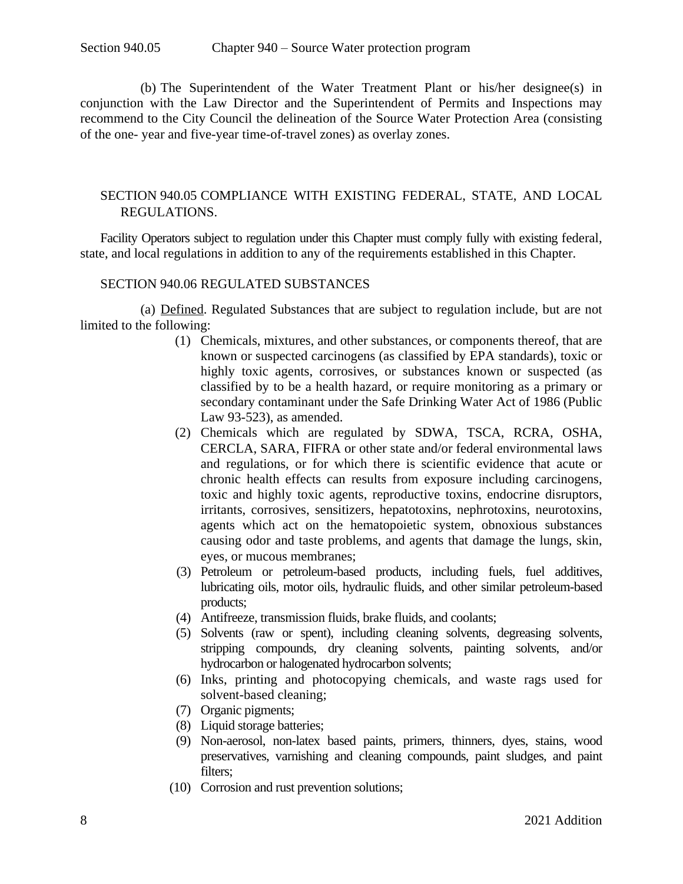(b) The Superintendent of the Water Treatment Plant or his/her designee(s) in conjunction with the Law Director and the Superintendent of Permits and Inspections may recommend to the City Council the delineation of the Source Water Protection Area (consisting of the one- year and five-year time-of-travel zones) as overlay zones.

### <span id="page-7-0"></span>SECTION 940.05 COMPLIANCE WITH EXISTING FEDERAL, STATE, AND LOCAL REGULATIONS.

Facility Operators subject to regulation under this Chapter must comply fully with existing federal, state, and local regulations in addition to any of the requirements established in this Chapter.

#### SECTION 940.06 REGULATED SUBSTANCES

(a) Defined. Regulated Substances that are subject to regulation include, but are not limited to the following:

- <span id="page-7-1"></span>(1) Chemicals, mixtures, and other substances, or components thereof, that are known or suspected carcinogens (as classified by EPA standards), toxic or highly toxic agents, corrosives, or substances known or suspected (as classified by to be a health hazard, or require monitoring as a primary or secondary contaminant under the Safe Drinking Water Act of 1986 (Public Law 93-523), as amended.
- (2) Chemicals which are regulated by SDWA, TSCA, RCRA, OSHA, CERCLA, SARA, FIFRA or other state and/or federal environmental laws and regulations, or for which there is scientific evidence that acute or chronic health effects can results from exposure including carcinogens, toxic and highly toxic agents, reproductive toxins, endocrine disruptors, irritants, corrosives, sensitizers, hepatotoxins, nephrotoxins, neurotoxins, agents which act on the hematopoietic system, obnoxious substances causing odor and taste problems, and agents that damage the lungs, skin, eyes, or mucous membranes;
- (3) Petroleum or petroleum-based products, including fuels, fuel additives, lubricating oils, motor oils, hydraulic fluids, and other similar petroleum-based products;
- (4) Antifreeze, transmission fluids, brake fluids, and coolants;
- (5) Solvents (raw or spent), including cleaning solvents, degreasing solvents, stripping compounds, dry cleaning solvents, painting solvents, and/or hydrocarbon or halogenated hydrocarbon solvents;
- (6) Inks, printing and photocopying chemicals, and waste rags used for solvent-based cleaning;
- (7) Organic pigments;
- (8) Liquid storage batteries;
- (9) Non-aerosol, non-latex based paints, primers, thinners, dyes, stains, wood preservatives, varnishing and cleaning compounds, paint sludges, and paint filters;
- (10) Corrosion and rust prevention solutions;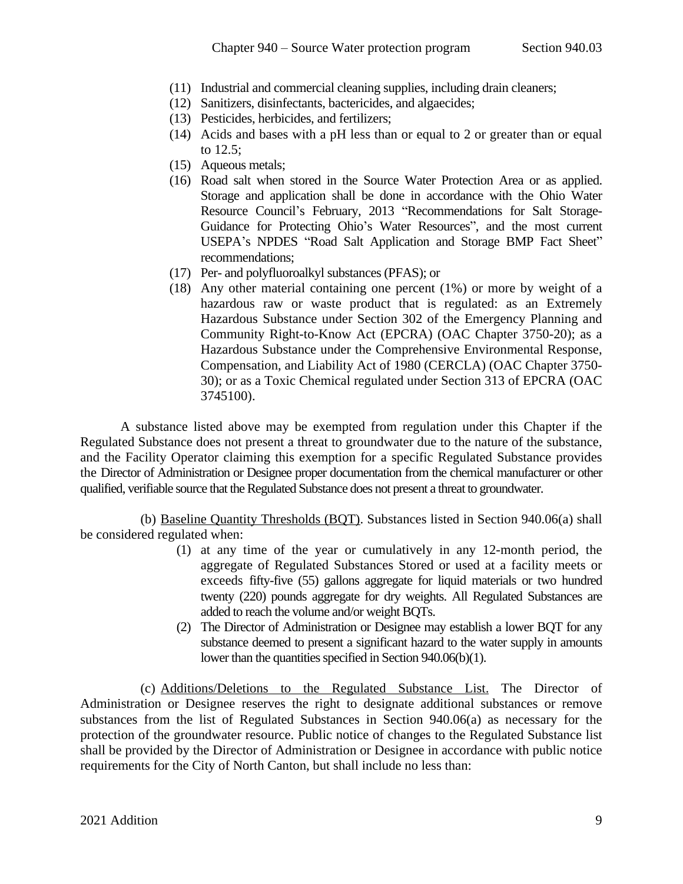- (11) Industrial and commercial cleaning supplies, including drain cleaners;
- (12) Sanitizers, disinfectants, bactericides, and algaecides;
- (13) Pesticides, herbicides, and fertilizers;
- (14) Acids and bases with a pH less than or equal to 2 or greater than or equal to 12.5;
- (15) Aqueous metals;
- (16) Road salt when stored in the Source Water Protection Area or as applied. Storage and application shall be done in accordance with the Ohio Water Resource Council's February, 2013 "Recommendations for Salt Storage-Guidance for Protecting Ohio's Water Resources", and the most current USEPA's NPDES "Road Salt Application and Storage BMP Fact Sheet" recommendations;
- (17) Per- and polyfluoroalkyl substances (PFAS); or
- (18) Any other material containing one percent (1%) or more by weight of a hazardous raw or waste product that is regulated: as an Extremely Hazardous Substance under Section 302 of the Emergency Planning and Community Right-to-Know Act (EPCRA) (OAC Chapter 3750-20); as a Hazardous Substance under the Comprehensive Environmental Response, Compensation, and Liability Act of 1980 (CERCLA) (OAC Chapter 3750- 30); or as a Toxic Chemical regulated under Section 313 of EPCRA (OAC 3745100).

A substance listed above may be exempted from regulation under this Chapter if the Regulated Substance does not present a threat to groundwater due to the nature of the substance, and the Facility Operator claiming this exemption for a specific Regulated Substance provides the Director of Administration or Designee proper documentation from the chemical manufacturer or other qualified, verifiable source that the Regulated Substance does not present a threat to groundwater.

(b) Baseline Quantity Thresholds (BQT). Substances listed in Section 940.06(a) shall be considered regulated when:

- (1) at any time of the year or cumulatively in any 12-month period, the aggregate of Regulated Substances Stored or used at a facility meets or exceeds fifty-five (55) gallons aggregate for liquid materials or two hundred twenty (220) pounds aggregate for dry weights. All Regulated Substances are added to reach the volume and/or weight BQTs.
- (2) The Director of Administration or Designee may establish a lower BQT for any substance deemed to present a significant hazard to the water supply in amounts lower than the quantities specified in Section  $940.06(b)(1)$ .

(c) Additions/Deletions to the Regulated Substance List. The Director of Administration or Designee reserves the right to designate additional substances or remove substances from the list of Regulated Substances in Section 940.06(a) as necessary for the protection of the groundwater resource. Public notice of changes to the Regulated Substance list shall be provided by the Director of Administration or Designee in accordance with public notice requirements for the City of North Canton, but shall include no less than: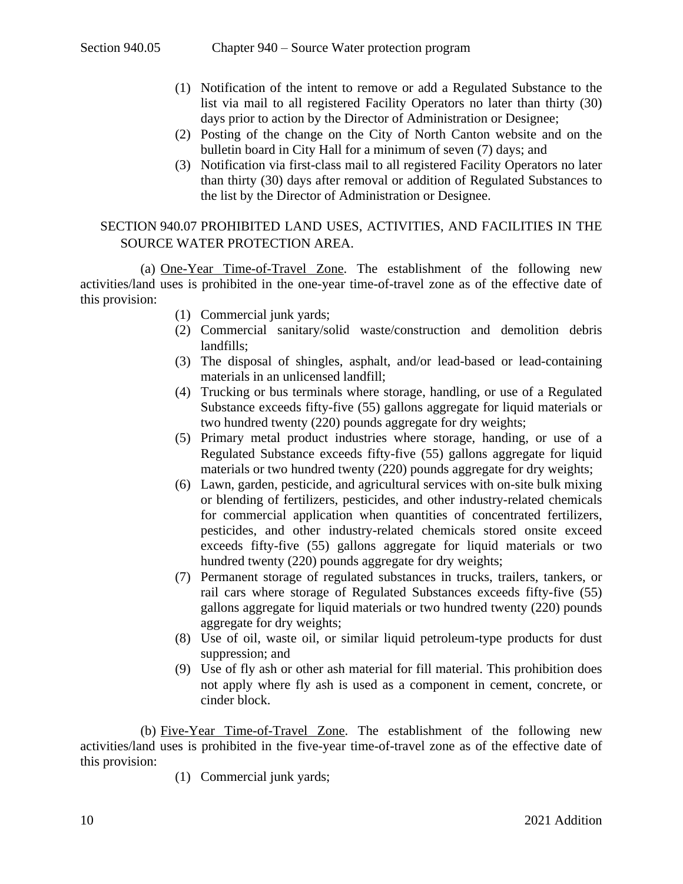- (1) Notification of the intent to remove or add a Regulated Substance to the list via mail to all registered Facility Operators no later than thirty (30) days prior to action by the Director of Administration or Designee;
- (2) Posting of the change on the City of North Canton website and on the bulletin board in City Hall for a minimum of seven (7) days; and
- (3) Notification via first-class mail to all registered Facility Operators no later than thirty (30) days after removal or addition of Regulated Substances to the list by the Director of Administration or Designee.

# <span id="page-9-0"></span>SECTION 940.07 PROHIBITED LAND USES, ACTIVITIES, AND FACILITIES IN THE SOURCE WATER PROTECTION AREA.

(a) One-Year Time-of-Travel Zone. The establishment of the following new activities/land uses is prohibited in the one-year time-of-travel zone as of the effective date of this provision:

- (1) Commercial junk yards;
- (2) Commercial sanitary/solid waste/construction and demolition debris landfills;
- (3) The disposal of shingles, asphalt, and/or lead-based or lead-containing materials in an unlicensed landfill;
- (4) Trucking or bus terminals where storage, handling, or use of a Regulated Substance exceeds fifty-five (55) gallons aggregate for liquid materials or two hundred twenty (220) pounds aggregate for dry weights;
- (5) Primary metal product industries where storage, handing, or use of a Regulated Substance exceeds fifty-five (55) gallons aggregate for liquid materials or two hundred twenty (220) pounds aggregate for dry weights;
- (6) Lawn, garden, pesticide, and agricultural services with on-site bulk mixing or blending of fertilizers, pesticides, and other industry-related chemicals for commercial application when quantities of concentrated fertilizers, pesticides, and other industry-related chemicals stored onsite exceed exceeds fifty-five (55) gallons aggregate for liquid materials or two hundred twenty (220) pounds aggregate for dry weights;
- (7) Permanent storage of regulated substances in trucks, trailers, tankers, or rail cars where storage of Regulated Substances exceeds fifty-five (55) gallons aggregate for liquid materials or two hundred twenty (220) pounds aggregate for dry weights;
- (8) Use of oil, waste oil, or similar liquid petroleum-type products for dust suppression; and
- (9) Use of fly ash or other ash material for fill material. This prohibition does not apply where fly ash is used as a component in cement, concrete, or cinder block.

(b) Five-Year Time-of-Travel Zone. The establishment of the following new activities/land uses is prohibited in the five-year time-of-travel zone as of the effective date of this provision:

(1) Commercial junk yards;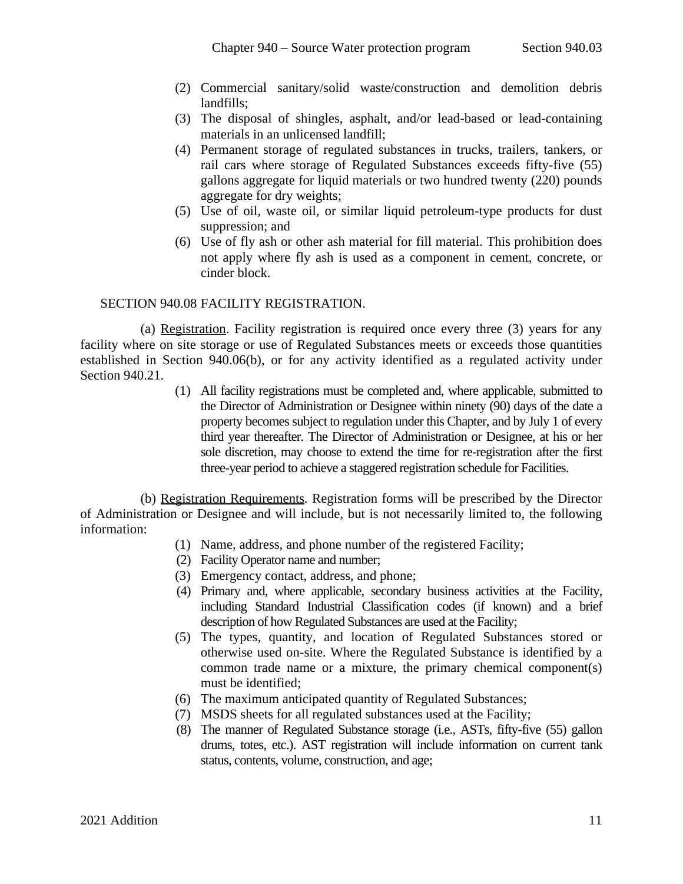- (2) Commercial sanitary/solid waste/construction and demolition debris landfills;
- (3) The disposal of shingles, asphalt, and/or lead-based or lead-containing materials in an unlicensed landfill;
- (4) Permanent storage of regulated substances in trucks, trailers, tankers, or rail cars where storage of Regulated Substances exceeds fifty-five (55) gallons aggregate for liquid materials or two hundred twenty (220) pounds aggregate for dry weights;
- (5) Use of oil, waste oil, or similar liquid petroleum-type products for dust suppression; and
- <span id="page-10-0"></span>(6) Use of fly ash or other ash material for fill material. This prohibition does not apply where fly ash is used as a component in cement, concrete, or cinder block.

#### SECTION 940.08 FACILITY REGISTRATION.

(a) Registration. Facility registration is required once every three (3) years for any facility where on site storage or use of Regulated Substances meets or exceeds those quantities established in Section 940.06(b), or for any activity identified as a regulated activity under [Section 940.21.](#page-24-1)

> (1) All facility registrations must be completed and, where applicable, submitted to the Director of Administration or Designee within ninety (90) days of the date a property becomes subject to regulation under this Chapter, and by July 1 of every third year thereafter. The Director of Administration or Designee, at his or her sole discretion, may choose to extend the time for re-registration after the first three-year period to achieve a staggered registration schedule for Facilities.

(b) Registration Requirements*.* Registration forms will be prescribed by the Director of Administration or Designee and will include, but is not necessarily limited to, the following information:

- (1) Name, address, and phone number of the registered Facility;
- (2) Facility Operator name and number;
- (3) Emergency contact, address, and phone;
- (4) Primary and, where applicable, secondary business activities at the Facility, including Standard Industrial Classification codes (if known) and a brief description of how Regulated Substances are used at the Facility;
- (5) The types, quantity, and location of Regulated Substances stored or otherwise used on-site. Where the Regulated Substance is identified by a common trade name or a mixture, the primary chemical component(s) must be identified;
- (6) The maximum anticipated quantity of Regulated Substances;
- (7) MSDS sheets for all regulated substances used at the Facility;
- (8) The manner of Regulated Substance storage (i.e., ASTs, fifty-five (55) gallon drums, totes, etc.). AST registration will include information on current tank status, contents, volume, construction, and age;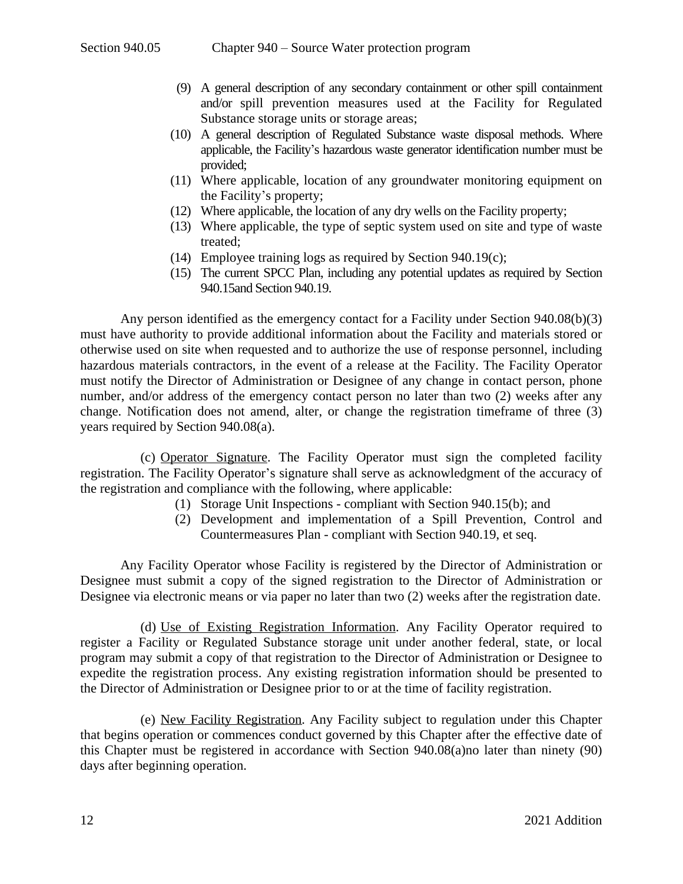- (9) A general description of any secondary containment or other spill containment and/or spill prevention measures used at the Facility for Regulated Substance storage units or storage areas;
- (10) A general description of Regulated Substance waste disposal methods. Where applicable, the Facility's hazardous waste generator identification number must be provided;
- (11) Where applicable, location of any groundwater monitoring equipment on the Facility's property;
- (12) Where applicable, the location of any dry wells on the Facility property;
- (13) Where applicable, the type of septic system used on site and type of waste treated;
- (14) Employee training logs as required by [Section 940.19\(c\)](#page-22-1);
- (15) The current SPCC Plan, including any potential updates as required by [Section](#page-17-1) 940.15and [Section](#page-21-2) 940.19.

Any person identified as the emergency contact for a Facility under Section 940.08(b)(3) must have authority to provide additional information about the Facility and materials stored or otherwise used on site when requested and to authorize the use of response personnel, including hazardous materials contractors, in the event of a release at the Facility. The Facility Operator must notify the Director of Administration or Designee of any change in contact person, phone number, and/or address of the emergency contact person no later than two (2) weeks after any change. Notification does not amend, alter, or change the registration timeframe of three (3) years required by Section 940.08(a).

(c) Operator Signature. The Facility Operator must sign the completed facility registration. The Facility Operator's signature shall serve as acknowledgment of the accuracy of the registration and compliance with the following, where applicable:

- (1) Storage Unit Inspections compliant with [Section 940.15\(b\);](#page-17-2) and
- (2) Development and implementation of a Spill Prevention, Control and Countermeasures Plan - compliant with [Section 940.19,](#page-21-2) et seq.

Any Facility Operator whose Facility is registered by the Director of Administration or Designee must submit a copy of the signed registration to the Director of Administration or Designee via electronic means or via paper no later than two (2) weeks after the registration date.

(d) Use of Existing Registration Information. Any Facility Operator required to register a Facility or Regulated Substance storage unit under another federal, state, or local program may submit a copy of that registration to the Director of Administration or Designee to expedite the registration process. Any existing registration information should be presented to the Director of Administration or Designee prior to or at the time of facility registration.

(e) New Facility Registration. Any Facility subject to regulation under this Chapter that begins operation or commences conduct governed by this Chapter after the effective date of this Chapter must be registered in accordance with Section 940.08(a)no later than ninety (90) days after beginning operation.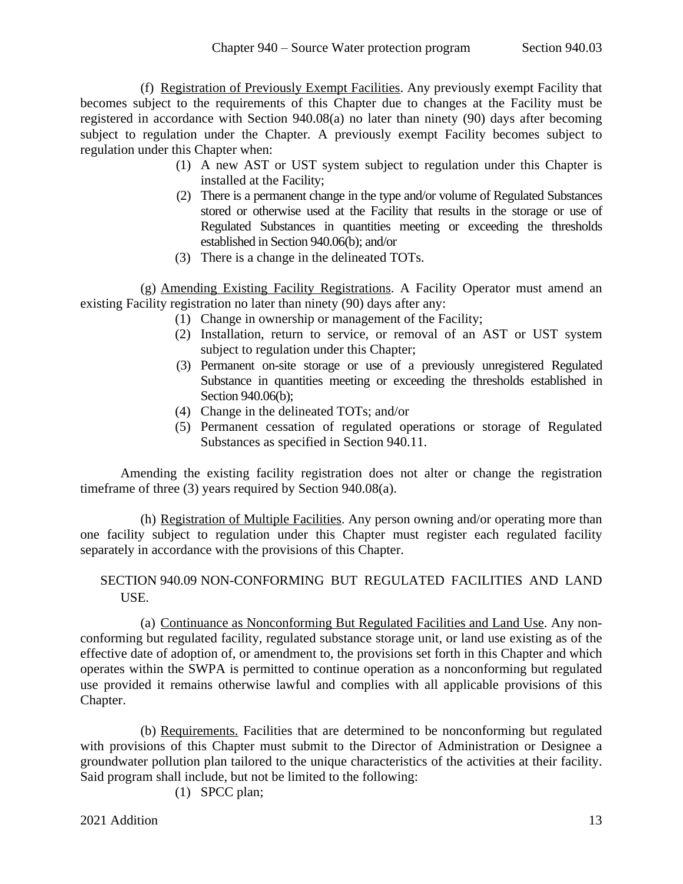(f) Registration of Previously Exempt Facilities. Any previously exempt Facility that becomes subject to the requirements of this Chapter due to changes at the Facility must be registered in accordance with Section 940.08(a) no later than ninety (90) days after becoming subject to regulation under the Chapter*.* A previously exempt Facility becomes subject to regulation under this Chapter when:

- (1) A new AST or UST system subject to regulation under this Chapter is installed at the Facility;
- (2) There is a permanent change in the type and/or volume of Regulated Substances stored or otherwise used at the Facility that results in the storage or use of Regulated Substances in quantities meeting or exceeding the thresholds established in Section 940.06(b); and/or
- (3) There is a change in the delineated TOTs.

(g) Amending Existing Facility Registrations. A Facility Operator must amend an existing Facility registration no later than ninety (90) days after any:

- (1) Change in ownership or management of the Facility;
- (2) Installation, return to service, or removal of an AST or UST system subject to regulation under this Chapter;
- (3) Permanent on-site storage or use of a previously unregistered Regulated Substance in quantities meeting or exceeding the thresholds established in Section 940.06(b);
- (4) Change in the delineated TOTs; and/or
- (5) Permanent cessation of regulated operations or storage of Regulated Substances as specified in [Section 940.11.](#page-14-0)

Amending the existing facility registration does not alter or change the registration timeframe of three (3) years required by Section 940.08(a).

(h) Registration of Multiple Facilities. Any person owning and/or operating more than one facility subject to regulation under this Chapter must register each regulated facility separately in accordance with the provisions of this Chapter.

# <span id="page-12-0"></span>SECTION 940.09 NON-CONFORMING BUT REGULATED FACILITIES AND LAND USE.

(a) Continuance as Nonconforming But Regulated Facilities and Land Use. Any nonconforming but regulated facility, regulated substance storage unit, or land use existing as of the effective date of adoption of, or amendment to, the provisions set forth in this Chapter and which operates within the SWPA is permitted to continue operation as a nonconforming but regulated use provided it remains otherwise lawful and complies with all applicable provisions of this Chapter.

(b) Requirements. Facilities that are determined to be nonconforming but regulated with provisions of this Chapter must submit to the Director of Administration or Designee a groundwater pollution plan tailored to the unique characteristics of the activities at their facility. Said program shall include, but not be limited to the following:

(1) SPCC plan;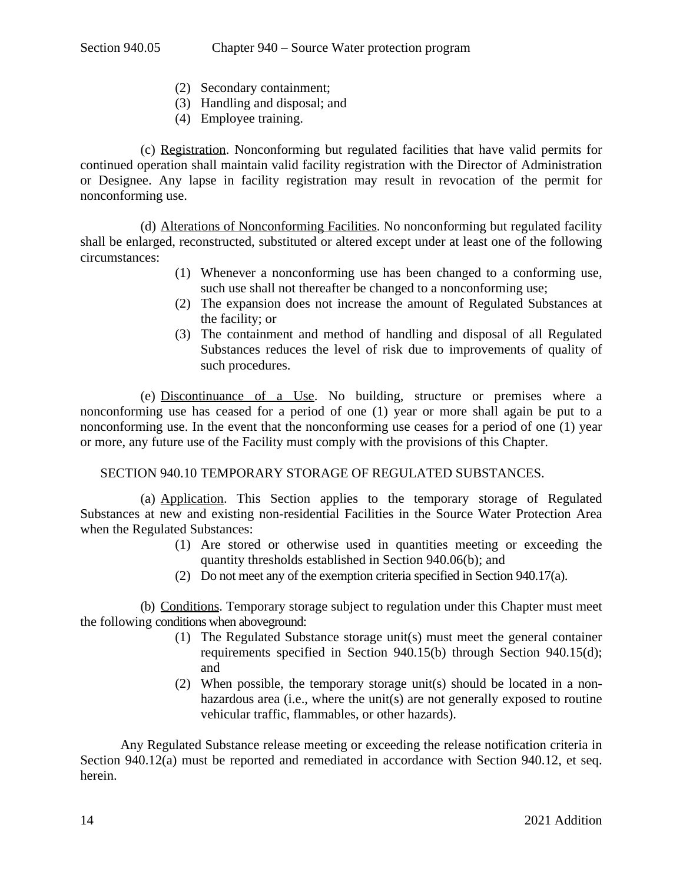- (2) Secondary containment;
- (3) Handling and disposal; and
- (4) Employee training.

(c) Registration. Nonconforming but regulated facilities that have valid permits for continued operation shall maintain valid facility registration with the Director of Administration or Designee. Any lapse in facility registration may result in revocation of the permit for nonconforming use.

(d) Alterations of Nonconforming Facilities. No nonconforming but regulated facility shall be enlarged, reconstructed, substituted or altered except under at least one of the following circumstances:

- (1) Whenever a nonconforming use has been changed to a conforming use, such use shall not thereafter be changed to a nonconforming use;
- (2) The expansion does not increase the amount of Regulated Substances at the facility; or
- (3) The containment and method of handling and disposal of all Regulated Substances reduces the level of risk due to improvements of quality of such procedures.

(e) Discontinuance of a Use. No building, structure or premises where a nonconforming use has ceased for a period of one (1) year or more shall again be put to a nonconforming use. In the event that the nonconforming use ceases for a period of one (1) year or more, any future use of the Facility must comply with the provisions of this Chapter.

### SECTION 940.10 TEMPORARY STORAGE OF REGULATED SUBSTANCES.

(a) Application. This Section applies to the temporary storage of Regulated Substances at new and existing non-residential Facilities in the Source Water Protection Area when the Regulated Substances:

- <span id="page-13-0"></span>(1) Are stored or otherwise used in quantities meeting or exceeding the quantity thresholds established in Section 940.06(b); and
- (2) Do not meet any of the exemption criteria specified in Section [940.17\(a\)](#page-19-2).

(b) Conditions. Temporary storage subject to regulation under this Chapter must meet the following conditions when aboveground:

- (1) The Regulated Substance storage unit(s) must meet the general container requirements specified in Section [940.15\(b\)](#page-17-2) through Section [940.15\(d\);](#page-18-0) and
- (2) When possible, the temporary storage unit(s) should be located in a nonhazardous area (i.e., where the unit(s) are not generally exposed to routine vehicular traffic, flammables, or other hazards).

Any Regulated Substance release meeting or exceeding the release notification criteria in Section [940.12\(a\)](#page-15-1) must be reported and remediated in accordance with [Section](#page-15-0) 940.12, et seq. herein.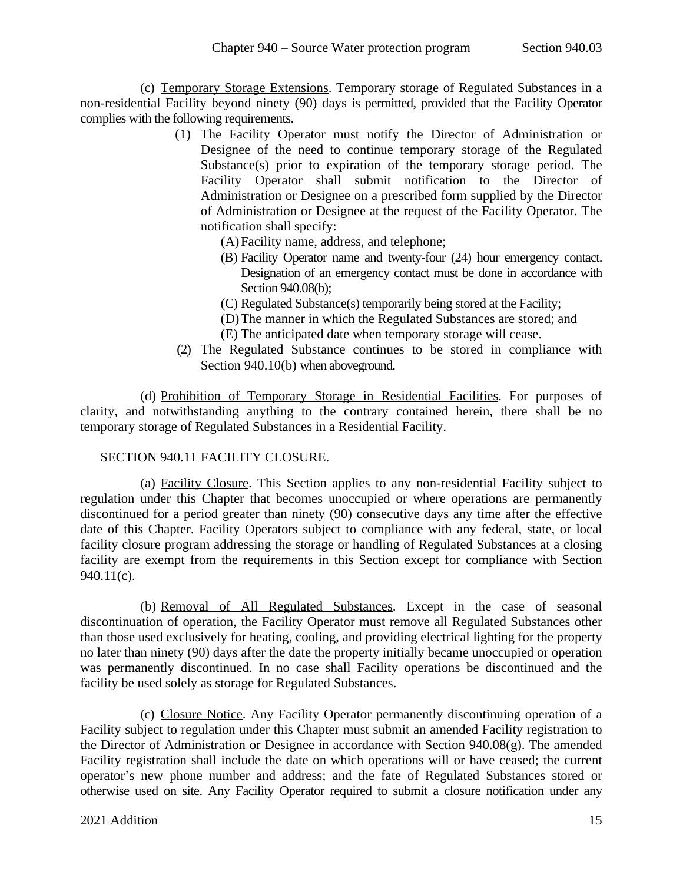(c) Temporary Storage Extensions. Temporary storage of Regulated Substances in a non-residential Facility beyond ninety (90) days is permitted, provided that the Facility Operator complies with the following requirements.

- (1) The Facility Operator must notify the Director of Administration or Designee of the need to continue temporary storage of the Regulated Substance(s) prior to expiration of the temporary storage period. The Facility Operator shall submit notification to the Director of Administration or Designee on a prescribed form supplied by the Director of Administration or Designee at the request of the Facility Operator. The notification shall specify:
	- (A)Facility name, address, and telephone;
	- (B) Facility Operator name and twenty-four (24) hour emergency contact. Designation of an emergency contact must be done in accordance with Section 940.08(b);
	- (C) Regulated Substance(s) temporarily being stored at the Facility;
	- (D)The manner in which the Regulated Substances are stored; and
	- (E) The anticipated date when temporary storage will cease.
- (2) The Regulated Substance continues to be stored in compliance with Section 940.10(b) when aboveground.

(d) Prohibition of Temporary Storage in Residential Facilities. For purposes of clarity, and notwithstanding anything to the contrary contained herein, there shall be no temporary storage of Regulated Substances in a Residential Facility.

### <span id="page-14-0"></span>SECTION 940.11 FACILITY CLOSURE.

(a) Facility Closure. This Section applies to any non-residential Facility subject to regulation under this Chapter that becomes unoccupied or where operations are permanently discontinued for a period greater than ninety (90) consecutive days any time after the effective date of this Chapter. Facility Operators subject to compliance with any federal, state, or local facility closure program addressing the storage or handling of Regulated Substances at a closing facility are exempt from the requirements in this Section except for compliance with [Section](#page-14-1) 940.11(c).

(b) Removal of All Regulated Substances. Except in the case of seasonal discontinuation of operation, the Facility Operator must remove all Regulated Substances other than those used exclusively for heating, cooling, and providing electrical lighting for the property no later than ninety (90) days after the date the property initially became unoccupied or operation was permanently discontinued. In no case shall Facility operations be discontinued and the facility be used solely as storage for Regulated Substances.

<span id="page-14-1"></span>(c) Closure Notice. Any Facility Operator permanently discontinuing operation of a Facility subject to regulation under this Chapter must submit an amended Facility registration to the Director of Administration or Designee in accordance with Section 940.08(g). The amended Facility registration shall include the date on which operations will or have ceased; the current operator's new phone number and address; and the fate of Regulated Substances stored or otherwise used on site. Any Facility Operator required to submit a closure notification under any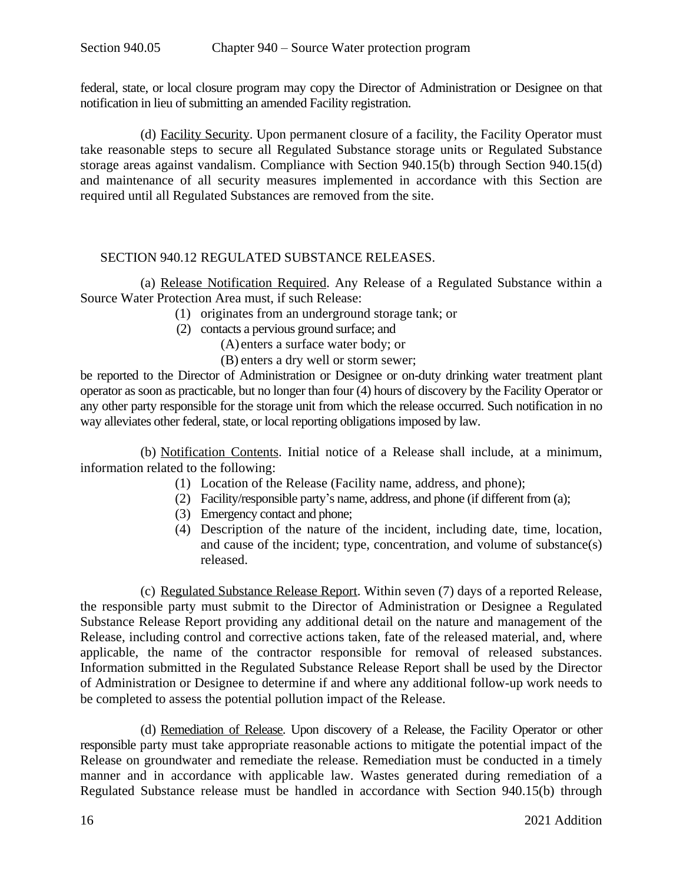federal, state, or local closure program may copy the Director of Administration or Designee on that notification in lieu of submitting an amended Facility registration.

(d) Facility Security. Upon permanent closure of a facility, the Facility Operator must take reasonable steps to secure all Regulated Substance storage units or Regulated Substance storage areas against vandalism. Compliance with Section [940.15\(b\)](#page-17-2) through Section [940.15\(d\)](#page-18-0) and maintenance of all security measures implemented in accordance with this Section are required until all Regulated Substances are removed from the site.

### SECTION 940.12 REGULATED SUBSTANCE RELEASES.

(a) Release Notification Required. Any Release of a Regulated Substance within a Source Water Protection Area must, if such Release:

- <span id="page-15-1"></span><span id="page-15-0"></span>(1) originates from an underground storage tank; or
- (2) contacts a pervious ground surface; and

(A) enters a surface water body; or

(B) enters a dry well or storm sewer;

be reported to the Director of Administration or Designee or on-duty drinking water treatment plant operator as soon as practicable, but no longer than four (4) hours of discovery by the Facility Operator or any other party responsible for the storage unit from which the release occurred. Such notification in no way alleviates other federal, state, or local reporting obligations imposed by law.

(b) Notification Contents. Initial notice of a Release shall include, at a minimum, information related to the following:

- (1) Location of the Release (Facility name, address, and phone);
- (2) Facility/responsible party's name, address, and phone (if different from (a);
- (3) Emergency contact and phone;
- (4) Description of the nature of the incident, including date, time, location, and cause of the incident; type, concentration, and volume of substance(s) released.

(c) Regulated Substance Release Report. Within seven (7) days of a reported Release, the responsible party must submit to the Director of Administration or Designee a Regulated Substance Release Report providing any additional detail on the nature and management of the Release, including control and corrective actions taken, fate of the released material, and, where applicable, the name of the contractor responsible for removal of released substances. Information submitted in the Regulated Substance Release Report shall be used by the Director of Administration or Designee to determine if and where any additional follow-up work needs to be completed to assess the potential pollution impact of the Release.

(d) Remediation of Release. Upon discovery of a Release, the Facility Operator or other responsible party must take appropriate reasonable actions to mitigate the potential impact of the Release on groundwater and remediate the release. Remediation must be conducted in a timely manner and in accordance with applicable law. Wastes generated during remediation of a Regulated Substance release must be handled in accordance with Section [940.15\(b\)](#page-17-2) through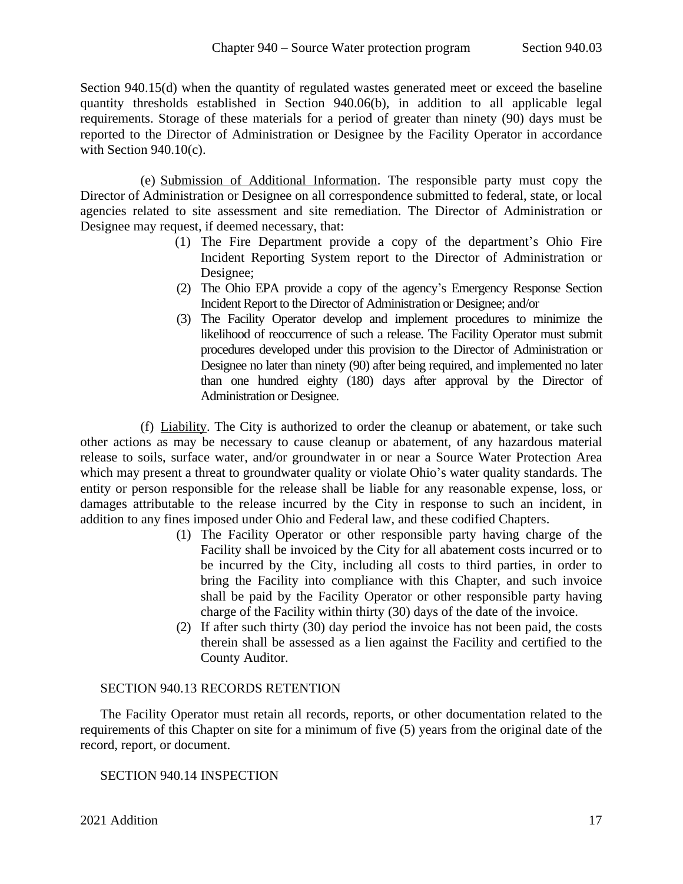Section 940.15(d) when the quantity of regulated wastes generated meet or exceed the baseline quantity thresholds established in Section 940.06(b), in addition to all applicable legal requirements. Storage of these materials for a period of greater than ninety (90) days must be reported to the Director of Administration or Designee by the Facility Operator in accordance with Section 940.10(c).

(e) Submission of Additional Information. The responsible party must copy the Director of Administration or Designee on all correspondence submitted to federal, state, or local agencies related to site assessment and site remediation. The Director of Administration or Designee may request, if deemed necessary, that:

- (1) The Fire Department provide a copy of the department's Ohio Fire Incident Reporting System report to the Director of Administration or Designee;
- (2) The Ohio EPA provide a copy of the agency's Emergency Response Section Incident Report to the Director of Administration or Designee; and/or
- (3) The Facility Operator develop and implement procedures to minimize the likelihood of reoccurrence of such a release. The Facility Operator must submit procedures developed under this provision to the Director of Administration or Designee no later than ninety (90) after being required, and implemented no later than one hundred eighty (180) days after approval by the Director of Administration or Designee*.*

(f) Liability. The City is authorized to order the cleanup or abatement, or take such other actions as may be necessary to cause cleanup or abatement, of any hazardous material release to soils, surface water, and/or groundwater in or near a Source Water Protection Area which may present a threat to groundwater quality or violate Ohio's water quality standards. The entity or person responsible for the release shall be liable for any reasonable expense, loss, or damages attributable to the release incurred by the City in response to such an incident, in addition to any fines imposed under Ohio and Federal law, and these codified Chapters.

- (1) The Facility Operator or other responsible party having charge of the Facility shall be invoiced by the City for all abatement costs incurred or to be incurred by the City, including all costs to third parties, in order to bring the Facility into compliance with this Chapter, and such invoice shall be paid by the Facility Operator or other responsible party having charge of the Facility within thirty (30) days of the date of the invoice.
- <span id="page-16-0"></span>(2) If after such thirty (30) day period the invoice has not been paid, the costs therein shall be assessed as a lien against the Facility and certified to the County Auditor.

### SECTION 940.13 RECORDS RETENTION

The Facility Operator must retain all records, reports, or other documentation related to the requirements of this Chapter on site for a minimum of five (5) years from the original date of the record, report, or document.

# <span id="page-16-1"></span>SECTION 940.14 INSPECTION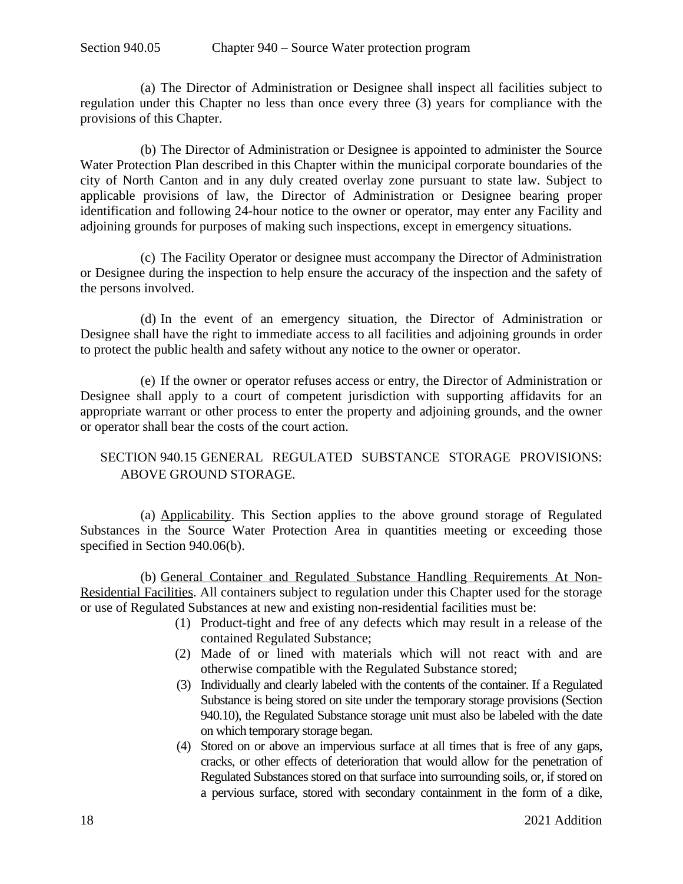(a) The Director of Administration or Designee shall inspect all facilities subject to regulation under this Chapter no less than once every three (3) years for compliance with the provisions of this Chapter.

(b) The Director of Administration or Designee is appointed to administer the Source Water Protection Plan described in this Chapter within the municipal corporate boundaries of the city of North Canton and in any duly created overlay zone pursuant to state law. Subject to applicable provisions of law, the Director of Administration or Designee bearing proper identification and following 24-hour notice to the owner or operator, may enter any Facility and adjoining grounds for purposes of making such inspections, except in emergency situations.

(c) The Facility Operator or designee must accompany the Director of Administration or Designee during the inspection to help ensure the accuracy of the inspection and the safety of the persons involved.

(d) In the event of an emergency situation, the Director of Administration or Designee shall have the right to immediate access to all facilities and adjoining grounds in order to protect the public health and safety without any notice to the owner or operator.

(e) If the owner or operator refuses access or entry, the Director of Administration or Designee shall apply to a court of competent jurisdiction with supporting affidavits for an appropriate warrant or other process to enter the property and adjoining grounds, and the owner or operator shall bear the costs of the court action.

# <span id="page-17-1"></span><span id="page-17-0"></span>SECTION 940.15 GENERAL REGULATED SUBSTANCE STORAGE PROVISIONS: ABOVE GROUND STORAGE.

(a) Applicability. This Section applies to the above ground storage of Regulated Substances in the Source Water Protection Area in quantities meeting or exceeding those specified in Section 940.06(b).

<span id="page-17-2"></span>(b) General Container and Regulated Substance Handling Requirements At Non-Residential Facilities. All containers subject to regulation under this Chapter used for the storage or use of Regulated Substances at new and existing non-residential facilities must be:

- (1) Product-tight and free of any defects which may result in a release of the contained Regulated Substance;
- (2) Made of or lined with materials which will not react with and are otherwise compatible with the Regulated Substance stored;
- (3) Individually and clearly labeled with the contents of the container. If a Regulated Substance is being stored on site under the temporary storage provisions (Section 940.10), the Regulated Substance storage unit must also be labeled with the date on which temporary storage began.
- (4) Stored on or above an impervious surface at all times that is free of any gaps, cracks, or other effects of deterioration that would allow for the penetration of Regulated Substances stored on that surface into surrounding soils, or, if stored on a pervious surface, stored with secondary containment in the form of a dike,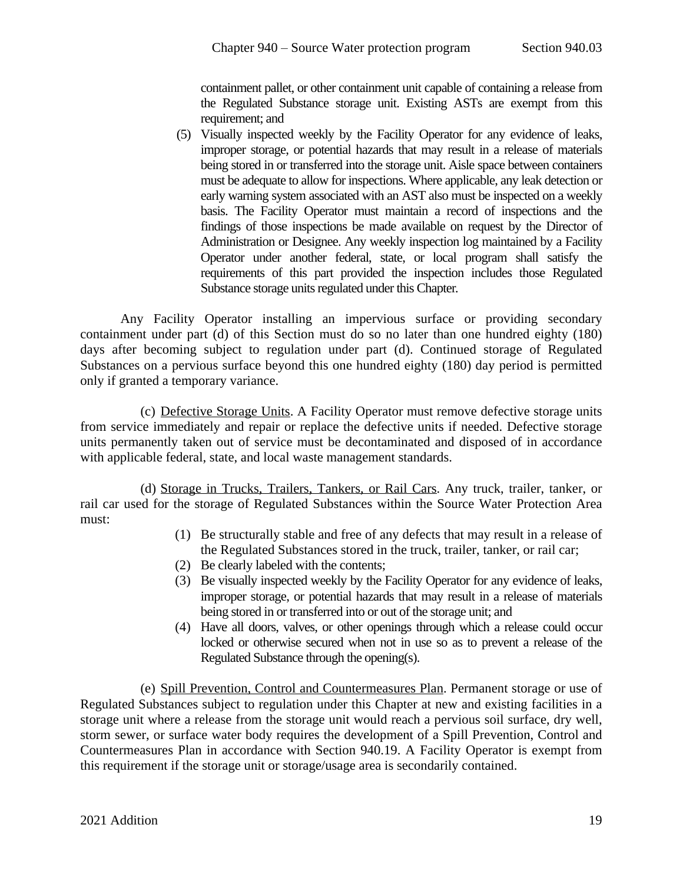containment pallet, or other containment unit capable of containing a release from the Regulated Substance storage unit. Existing ASTs are exempt from this requirement; and

(5) Visually inspected weekly by the Facility Operator for any evidence of leaks, improper storage, or potential hazards that may result in a release of materials being stored in or transferred into the storage unit. Aisle space between containers must be adequate to allow for inspections. Where applicable, any leak detection or early warning system associated with an AST also must be inspected on a weekly basis. The Facility Operator must maintain a record of inspections and the findings of those inspections be made available on request by the Director of Administration or Designee. Any weekly inspection log maintained by a Facility Operator under another federal, state, or local program shall satisfy the requirements of this part provided the inspection includes those Regulated Substance storage units regulated under this Chapter.

Any Facility Operator installing an impervious surface or providing secondary containment under part (d) of this Section must do so no later than one hundred eighty (180) days after becoming subject to regulation under part (d). Continued storage of Regulated Substances on a pervious surface beyond this one hundred eighty (180) day period is permitted only if granted a temporary variance.

(c) Defective Storage Units. A Facility Operator must remove defective storage units from service immediately and repair or replace the defective units if needed. Defective storage units permanently taken out of service must be decontaminated and disposed of in accordance with applicable federal, state, and local waste management standards.

(d) Storage in Trucks, Trailers, Tankers, or Rail Cars. Any truck, trailer, tanker, or rail car used for the storage of Regulated Substances within the Source Water Protection Area must:

- <span id="page-18-0"></span>(1) Be structurally stable and free of any defects that may result in a release of the Regulated Substances stored in the truck, trailer, tanker, or rail car;
- (2) Be clearly labeled with the contents;
- (3) Be visually inspected weekly by the Facility Operator for any evidence of leaks, improper storage, or potential hazards that may result in a release of materials being stored in or transferred into or out of the storage unit; and
- (4) Have all doors, valves, or other openings through which a release could occur locked or otherwise secured when not in use so as to prevent a release of the Regulated Substance through the opening(s).

(e) Spill Prevention, Control and Countermeasures Plan. Permanent storage or use of Regulated Substances subject to regulation under this Chapter at new and existing facilities in a storage unit where a release from the storage unit would reach a pervious soil surface, dry well, storm sewer, or surface water body requires the development of a Spill Prevention, Control and Countermeasures Plan in accordance with [Section](#page-21-2) 940.19. A Facility Operator is exempt from this requirement if the storage unit or storage/usage area is secondarily contained.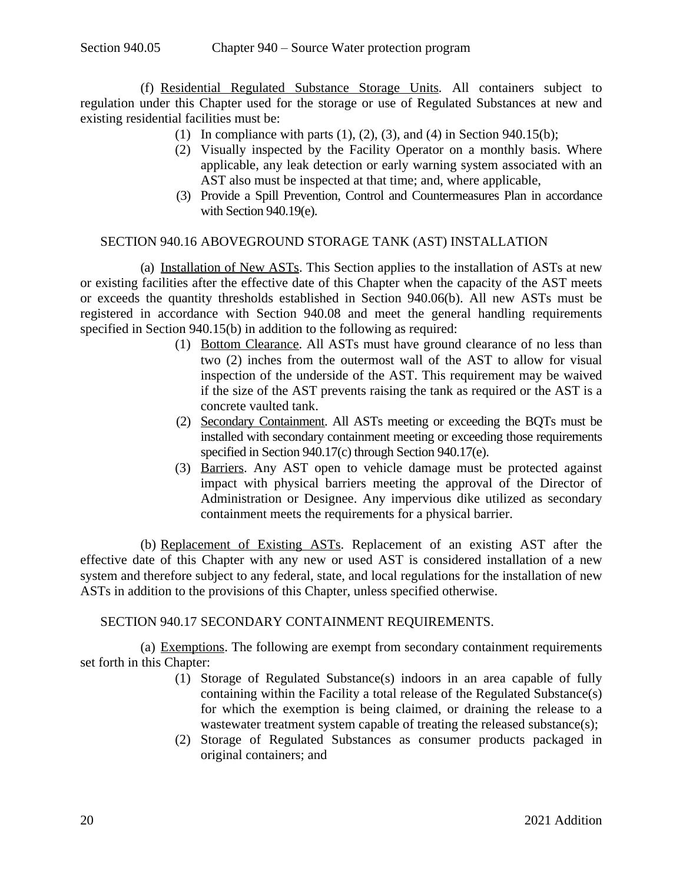(f) Residential Regulated Substance Storage Units*.* All containers subject to regulation under this Chapter used for the storage or use of Regulated Substances at new and existing residential facilities must be:

- (1) In compliance with parts  $(1)$ ,  $(2)$ ,  $(3)$ , and  $(4)$  in Section 940.15(b);
- (2) Visually inspected by the Facility Operator on a monthly basis. Where applicable, any leak detection or early warning system associated with an AST also must be inspected at that time; and, where applicable,
- <span id="page-19-0"></span>(3) Provide a Spill Prevention, Control and Countermeasures Plan in accordance with Section [940.19\(e\).](#page-22-2)

### SECTION 940.16 ABOVEGROUND STORAGE TANK (AST) INSTALLATION

(a) Installation of New ASTs. This Section applies to the installation of ASTs at new or existing facilities after the effective date of this Chapter when the capacity of the AST meets or exceeds the quantity thresholds established in Section 940.06(b). All new ASTs must be registered in accordance with Section 940.08 and meet the general handling requirements specified in Section 940.15(b) in addition to the following as required:

- (1) Bottom Clearance. All ASTs must have ground clearance of no less than two (2) inches from the outermost wall of the AST to allow for visual inspection of the underside of the AST. This requirement may be waived if the size of the AST prevents raising the tank as required or the AST is a concrete vaulted tank.
- (2) Secondary Containment. All ASTs meeting or exceeding the BQTs must be installed with secondary containment meeting or exceeding those requirements specified in Section [940.17\(c\)](#page-20-0) through Section [940.17\(e\).](#page-20-1)
- (3) Barriers. Any AST open to vehicle damage must be protected against impact with physical barriers meeting the approval of the Director of Administration or Designee. Any impervious dike utilized as secondary containment meets the requirements for a physical barrier.

(b) Replacement of Existing ASTs. Replacement of an existing AST after the effective date of this Chapter with any new or used AST is considered installation of a new system and therefore subject to any federal, state, and local regulations for the installation of new ASTs in addition to the provisions of this Chapter, unless specified otherwise.

#### SECTION 940.17 SECONDARY CONTAINMENT REQUIREMENTS.

(a) Exemptions. The following are exempt from secondary containment requirements set forth in this Chapter:

- <span id="page-19-2"></span><span id="page-19-1"></span>(1) Storage of Regulated Substance(s) indoors in an area capable of fully containing within the Facility a total release of the Regulated Substance(s) for which the exemption is being claimed, or draining the release to a wastewater treatment system capable of treating the released substance(s);
- (2) Storage of Regulated Substances as consumer products packaged in original containers; and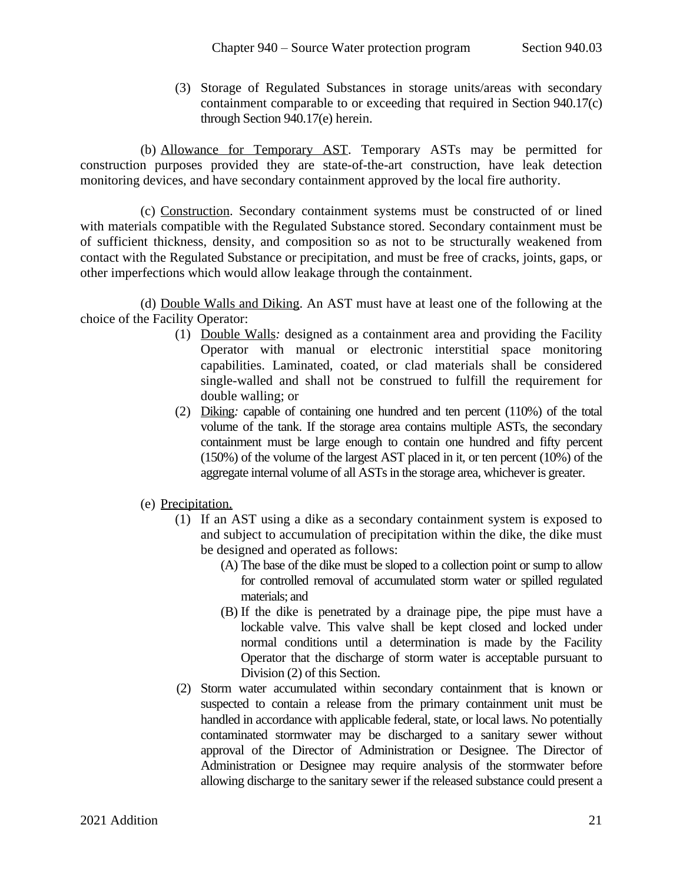(3) Storage of Regulated Substances in storage units/areas with secondary containment comparable to or exceeding that required in Section [940.17\(c\)](#page-20-0) through Section [940.17\(e\)](#page-20-1) herein.

(b) Allowance for Temporary AST. Temporary ASTs may be permitted for construction purposes provided they are state-of-the-art construction, have leak detection monitoring devices, and have secondary containment approved by the local fire authority.

<span id="page-20-0"></span>(c) Construction. Secondary containment systems must be constructed of or lined with materials compatible with the Regulated Substance stored. Secondary containment must be of sufficient thickness, density, and composition so as not to be structurally weakened from contact with the Regulated Substance or precipitation, and must be free of cracks, joints, gaps, or other imperfections which would allow leakage through the containment.

(d) Double Walls and Diking. An AST must have at least one of the following at the choice of the Facility Operator:

- (1) Double Walls*:* designed as a containment area and providing the Facility Operator with manual or electronic interstitial space monitoring capabilities. Laminated, coated, or clad materials shall be considered single-walled and shall not be construed to fulfill the requirement for double walling; or
- (2) Diking*:* capable of containing one hundred and ten percent (110%) of the total volume of the tank. If the storage area contains multiple ASTs, the secondary containment must be large enough to contain one hundred and fifty percent (150%) of the volume of the largest AST placed in it, or ten percent (10%) of the aggregate internal volume of all ASTs in the storage area, whichever is greater.
- <span id="page-20-2"></span><span id="page-20-1"></span>(e) Precipitation.
	- (1) If an AST using a dike as a secondary containment system is exposed to and subject to accumulation of precipitation within the dike, the dike must be designed and operated as follows:
		- (A) The base of the dike must be sloped to a collection point or sump to allow for controlled removal of accumulated storm water or spilled regulated materials; and
		- (B) If the dike is penetrated by a drainage pipe, the pipe must have a lockable valve. This valve shall be kept closed and locked under normal conditions until a determination is made by the Facility Operator that the discharge of storm water is acceptable pursuant to Division [\(2\)](#page-20-2) of this Section.
	- (2) Storm water accumulated within secondary containment that is known or suspected to contain a release from the primary containment unit must be handled in accordance with applicable federal, state, or local laws. No potentially contaminated stormwater may be discharged to a sanitary sewer without approval of the Director of Administration or Designee. The Director of Administration or Designee may require analysis of the stormwater before allowing discharge to the sanitary sewer if the released substance could present a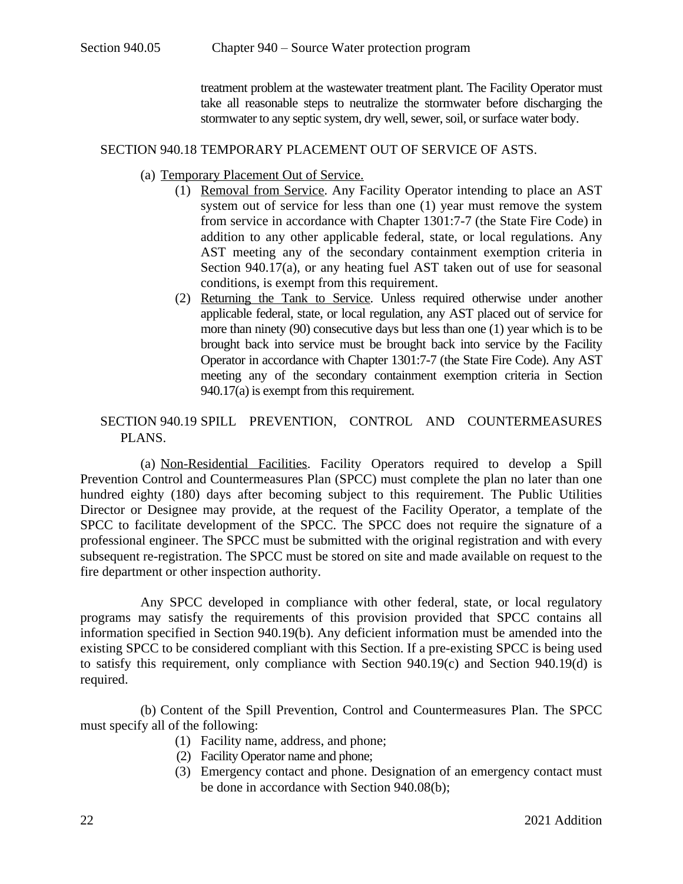<span id="page-21-0"></span>treatment problem at the wastewater treatment plant. The Facility Operator must take all reasonable steps to neutralize the stormwater before discharging the stormwater to any septic system, dry well, sewer, soil, or surface water body.

#### SECTION 940.18 TEMPORARY PLACEMENT OUT OF SERVICE OF ASTS.

- (a) Temporary Placement Out of Service.
	- (1) Removal from Service. Any Facility Operator intending to place an AST system out of service for less than one (1) year must remove the system from service in accordance with Chapter 1301:7-7 (the State Fire Code) in addition to any other applicable federal, state, or local regulations. Any AST meeting any of the secondary containment exemption criteria in Section 940.17(a), or any heating fuel AST taken out of use for seasonal conditions, is exempt from this requirement.
	- (2) Returning the Tank to Service. Unless required otherwise under another applicable federal, state, or local regulation, any AST placed out of service for more than ninety (90) consecutive days but less than one (1) year which is to be brought back into service must be brought back into service by the Facility Operator in accordance with Chapter 1301:7-7 (the State Fire Code). Any AST meeting any of the secondary containment exemption criteria in Section  $940.17(a)$  is exempt from this requirement.

### <span id="page-21-2"></span><span id="page-21-1"></span>SECTION 940.19 SPILL PREVENTION, CONTROL AND COUNTERMEASURES PLANS.

(a) Non-Residential Facilities. Facility Operators required to develop a Spill Prevention Control and Countermeasures Plan (SPCC) must complete the plan no later than one hundred eighty (180) days after becoming subject to this requirement. The Public Utilities Director or Designee may provide, at the request of the Facility Operator, a template of the SPCC to facilitate development of the SPCC. The SPCC does not require the signature of a professional engineer. The SPCC must be submitted with the original registration and with every subsequent re-registration. The SPCC must be stored on site and made available on request to the fire department or other inspection authority.

Any SPCC developed in compliance with other federal, state, or local regulatory programs may satisfy the requirements of this provision provided that SPCC contains all information specified in Section [940.19\(b\)](#page-21-3). Any deficient information must be amended into the existing SPCC to be considered compliant with this Section. If a pre-existing SPCC is being used to satisfy this requirement, only compliance with Section [940.19\(c\)](#page-22-1) and Section [940.19\(d\)](#page-22-3) is required.

<span id="page-21-3"></span>(b) Content of the Spill Prevention, Control and Countermeasures Plan. The SPCC must specify all of the following:

- (1) Facility name, address, and phone;
- (2) Facility Operator name and phone;
- (3) Emergency contact and phone. Designation of an emergency contact must be done in accordance with Section 940.08(b);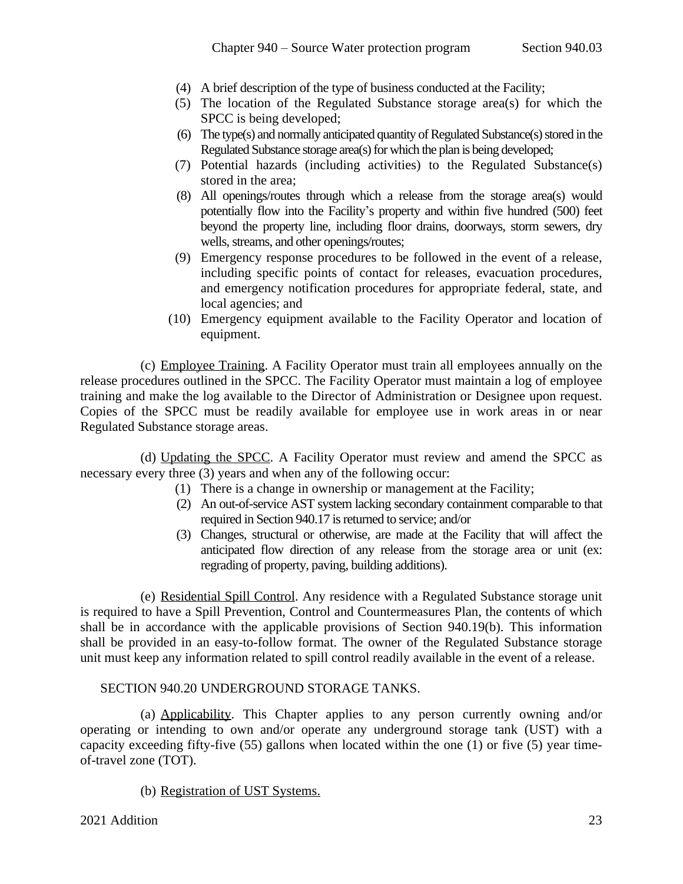- (4) A brief description of the type of business conducted at the Facility;
- (5) The location of the Regulated Substance storage area(s) for which the SPCC is being developed;
- (6) The type(s) and normally anticipated quantity of Regulated Substance(s) stored in the Regulated Substance storage area(s) for which the plan is being developed;
- (7) Potential hazards (including activities) to the Regulated Substance(s) stored in the area;
- (8) All openings/routes through which a release from the storage area(s) would potentially flow into the Facility's property and within five hundred (500) feet beyond the property line, including floor drains, doorways, storm sewers, dry wells, streams, and other openings/routes;
- (9) Emergency response procedures to be followed in the event of a release, including specific points of contact for releases, evacuation procedures, and emergency notification procedures for appropriate federal, state, and local agencies; and
- <span id="page-22-1"></span>(10) Emergency equipment available to the Facility Operator and location of equipment.

(c) Employee Training. A Facility Operator must train all employees annually on the release procedures outlined in the SPCC. The Facility Operator must maintain a log of employee training and make the log available to the Director of Administration or Designee upon request. Copies of the SPCC must be readily available for employee use in work areas in or near Regulated Substance storage areas.

(d) Updating the SPCC. A Facility Operator must review and amend the SPCC as necessary every three (3) years and when any of the following occur:

- <span id="page-22-3"></span>(1) There is a change in ownership or management at the Facility;
- (2) An out-of-service AST system lacking secondary containment comparable to that required in Section 940.17 is returned to service; and/or
- <span id="page-22-2"></span>(3) Changes, structural or otherwise, are made at the Facility that will affect the anticipated flow direction of any release from the storage area or unit (ex: regrading of property, paving, building additions).

(e) Residential Spill Control. Any residence with a Regulated Substance storage unit is required to have a Spill Prevention, Control and Countermeasures Plan, the contents of which shall be in accordance with the applicable provisions of Section 940.19(b). This information shall be provided in an easy-to-follow format. The owner of the Regulated Substance storage unit must keep any information related to spill control readily available in the event of a release.

### <span id="page-22-0"></span>SECTION 940.20 UNDERGROUND STORAGE TANKS.

(a) Applicability. This Chapter applies to any person currently owning and/or operating or intending to own and/or operate any underground storage tank (UST) with a capacity exceeding fifty-five (55) gallons when located within the one (1) or five (5) year timeof-travel zone (TOT).

(b) Registration of UST Systems.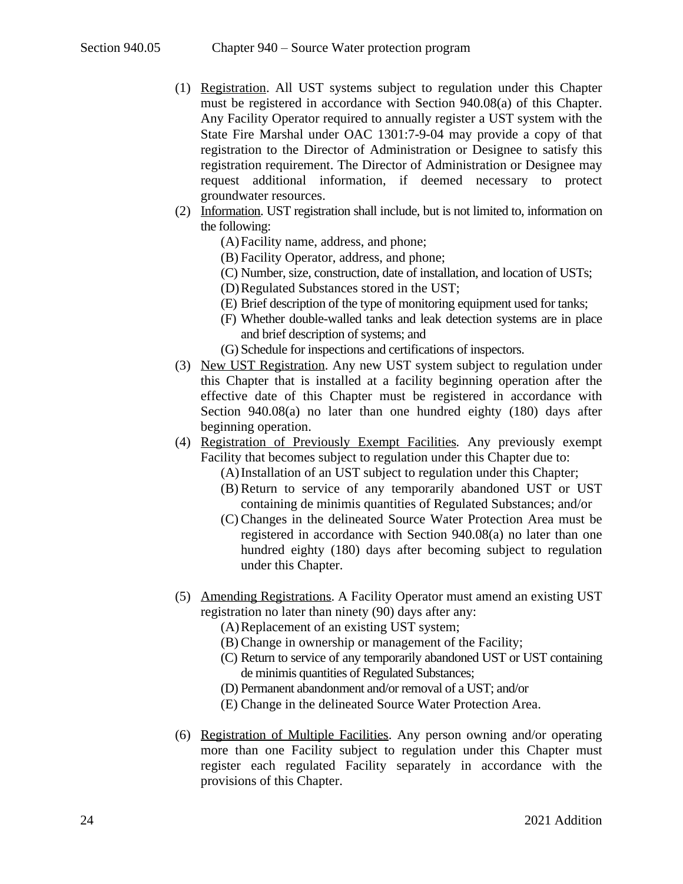- (1) Registration. All UST systems subject to regulation under this Chapter must be registered in accordance with Section 940.08(a) of this Chapter. Any Facility Operator required to annually register a UST system with the State Fire Marshal under OAC 1301:7-9-04 may provide a copy of that registration to the Director of Administration or Designee to satisfy this registration requirement. The Director of Administration or Designee may request additional information, if deemed necessary to protect groundwater resources.
- (2) Information. UST registration shall include, but is not limited to, information on the following:
	- (A)Facility name, address, and phone;
	- (B) Facility Operator, address, and phone;
	- (C) Number, size, construction, date of installation, and location of USTs;
	- (D)Regulated Substances stored in the UST;
	- (E) Brief description of the type of monitoring equipment used for tanks;
	- (F) Whether double-walled tanks and leak detection systems are in place and brief description of systems; and
	- (G) Schedule for inspections and certifications of inspectors.
- (3) New UST Registration. Any new UST system subject to regulation under this Chapter that is installed at a facility beginning operation after the effective date of this Chapter must be registered in accordance with Section 940.08(a) no later than one hundred eighty (180) days after beginning operation.
- (4) Registration of Previously Exempt Facilities*.* Any previously exempt Facility that becomes subject to regulation under this Chapter due to:
	- (A)Installation of an UST subject to regulation under this Chapter;
	- (B) Return to service of any temporarily abandoned UST or UST containing de minimis quantities of Regulated Substances; and/or
	- (C) Changes in the delineated Source Water Protection Area must be registered in accordance with Section 940.08(a) no later than one hundred eighty (180) days after becoming subject to regulation under this Chapter.
- (5) Amending Registrations. A Facility Operator must amend an existing UST registration no later than ninety (90) days after any:
	- (A)Replacement of an existing UST system;
	- (B) Change in ownership or management of the Facility;
	- (C) Return to service of any temporarily abandoned UST or UST containing de minimis quantities of Regulated Substances;
	- (D) Permanent abandonment and/or removal of a UST; and/or
	- (E) Change in the delineated Source Water Protection Area.
- (6) Registration of Multiple Facilities. Any person owning and/or operating more than one Facility subject to regulation under this Chapter must register each regulated Facility separately in accordance with the provisions of this Chapter.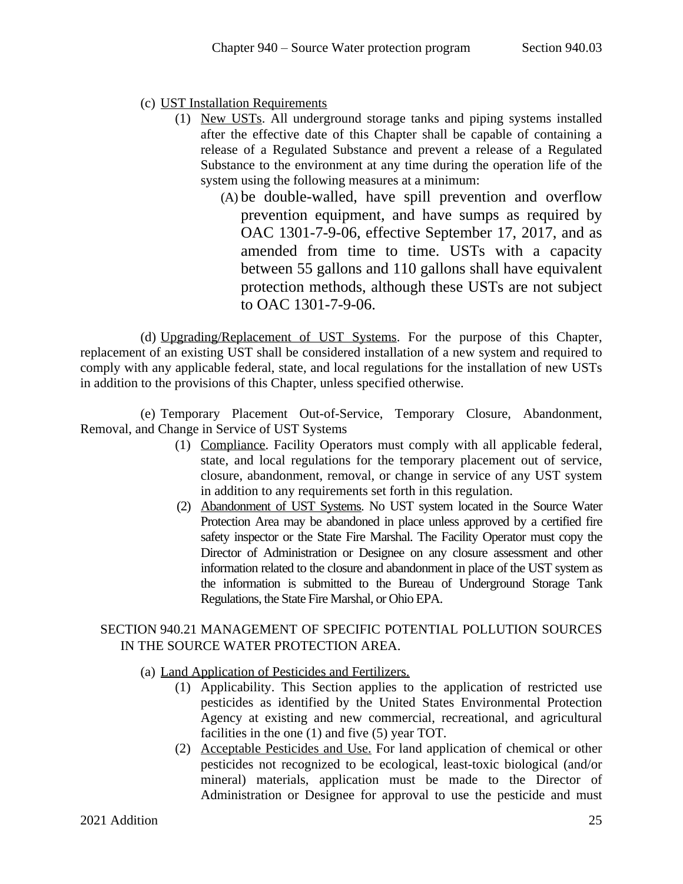- (c) UST Installation Requirements
	- (1) New USTs. All underground storage tanks and piping systems installed after the effective date of this Chapter shall be capable of containing a release of a Regulated Substance and prevent a release of a Regulated Substance to the environment at any time during the operation life of the system using the following measures at a minimum:
		- (A) be double-walled, have spill prevention and overflow prevention equipment, and have sumps as required by OAC 1301-7-9-06, effective September 17, 2017, and as amended from time to time. USTs with a capacity between 55 gallons and 110 gallons shall have equivalent protection methods, although these USTs are not subject to OAC 1301-7-9-06.

(d) Upgrading/Replacement of UST Systems. For the purpose of this Chapter, replacement of an existing UST shall be considered installation of a new system and required to comply with any applicable federal, state, and local regulations for the installation of new USTs in addition to the provisions of this Chapter, unless specified otherwise.

(e) Temporary Placement Out-of-Service, Temporary Closure, Abandonment, Removal, and Change in Service of UST Systems

- (1) Compliance. Facility Operators must comply with all applicable federal, state, and local regulations for the temporary placement out of service, closure, abandonment, removal, or change in service of any UST system in addition to any requirements set forth in this regulation.
- (2) Abandonment of UST Systems. No UST system located in the Source Water Protection Area may be abandoned in place unless approved by a certified fire safety inspector or the State Fire Marshal. The Facility Operator must copy the Director of Administration or Designee on any closure assessment and other information related to the closure and abandonment in place of the UST system as the information is submitted to the Bureau of Underground Storage Tank Regulations, the State Fire Marshal, or Ohio EPA.

# <span id="page-24-0"></span>SECTION 940.21 MANAGEMENT OF SPECIFIC POTENTIAL POLLUTION SOURCES IN THE SOURCE WATER PROTECTION AREA.

- <span id="page-24-1"></span>(a) Land Application of Pesticides and Fertilizers.
	- (1) Applicability. This Section applies to the application of restricted use pesticides as identified by the United States Environmental Protection Agency at existing and new commercial, recreational, and agricultural facilities in the one (1) and five (5) year TOT.
	- (2) Acceptable Pesticides and Use. For land application of chemical or other pesticides not recognized to be ecological, least-toxic biological (and/or mineral) materials, application must be made to the Director of Administration or Designee for approval to use the pesticide and must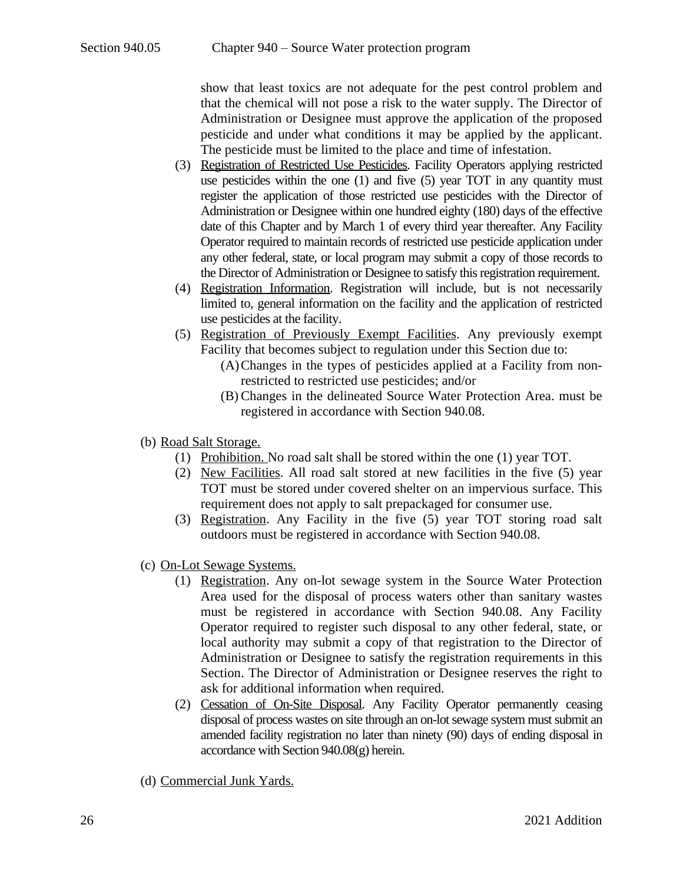show that least toxics are not adequate for the pest control problem and that the chemical will not pose a risk to the water supply. The Director of Administration or Designee must approve the application of the proposed pesticide and under what conditions it may be applied by the applicant. The pesticide must be limited to the place and time of infestation.

- (3) Registration of Restricted Use Pesticides. Facility Operators applying restricted use pesticides within the one (1) and five (5) year TOT in any quantity must register the application of those restricted use pesticides with the Director of Administration or Designee within one hundred eighty (180) days of the effective date of this Chapter and by March 1 of every third year thereafter. Any Facility Operator required to maintain records of restricted use pesticide application under any other federal, state, or local program may submit a copy of those records to the Director of Administration or Designee to satisfy this registration requirement.
- (4) Registration Information. Registration will include, but is not necessarily limited to, general information on the facility and the application of restricted use pesticides at the facility.
- (5) Registration of Previously Exempt Facilities. Any previously exempt Facility that becomes subject to regulation under this Section due to:
	- (A)Changes in the types of pesticides applied at a Facility from nonrestricted to restricted use pesticides; and/or
	- (B) Changes in the delineated Source Water Protection Area. must be registered in accordance with Section 940.08.
- (b) Road Salt Storage.
	- (1) Prohibition. No road salt shall be stored within the one (1) year TOT.
	- (2) New Facilities. All road salt stored at new facilities in the five (5) year TOT must be stored under covered shelter on an impervious surface. This requirement does not apply to salt prepackaged for consumer use.
	- (3) Registration. Any Facility in the five (5) year TOT storing road salt outdoors must be registered in accordance with Section 940.08.
- (c) On-Lot Sewage Systems.
	- (1) Registration. Any on-lot sewage system in the Source Water Protection Area used for the disposal of process waters other than sanitary wastes must be registered in accordance with Section 940.08. Any Facility Operator required to register such disposal to any other federal, state, or local authority may submit a copy of that registration to the Director of Administration or Designee to satisfy the registration requirements in this Section. The Director of Administration or Designee reserves the right to ask for additional information when required.
	- (2) Cessation of On-Site Disposal. Any Facility Operator permanently ceasing disposal of process wastes on site through an on-lot sewage system must submit an amended facility registration no later than ninety (90) days of ending disposal in accordance with Section 940.08(g) herein.
- (d) Commercial Junk Yards.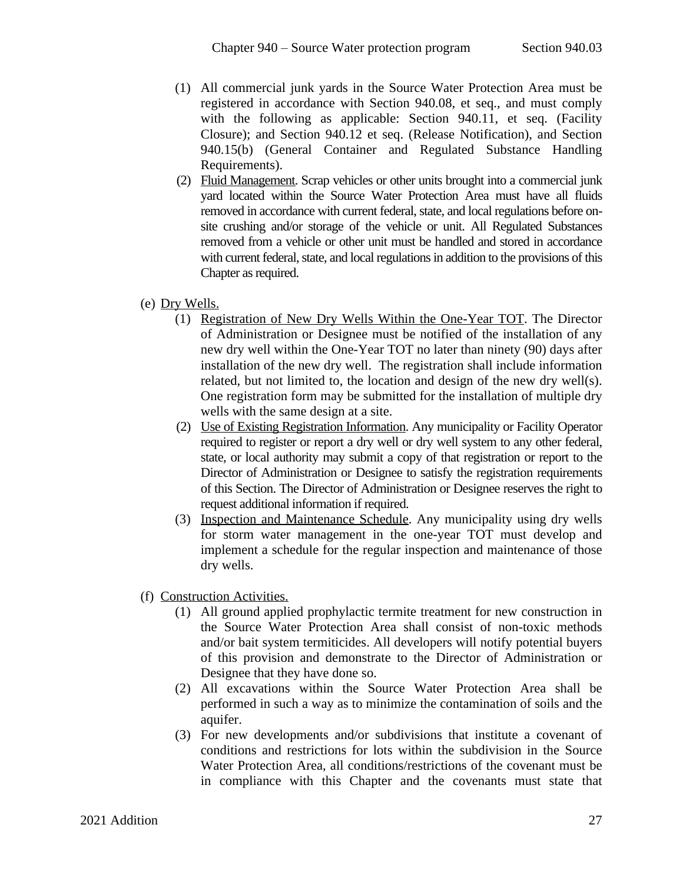- (1) All commercial junk yards in the Source Water Protection Area must be registered in accordance with Section 940.08, et seq., and must comply with the following as applicable: Section 940.11, et seq. (Facility Closure); and Section 940.12 et seq. (Release Notification), and Section 940.15(b) (General Container and Regulated Substance Handling Requirements).
- (2) Fluid Management. Scrap vehicles or other units brought into a commercial junk yard located within the Source Water Protection Area must have all fluids removed in accordance with current federal, state, and local regulations before onsite crushing and/or storage of the vehicle or unit. All Regulated Substances removed from a vehicle or other unit must be handled and stored in accordance with current federal, state, and local regulations in addition to the provisions of this Chapter as required.
- (e) Dry Wells.
	- (1) Registration of New Dry Wells Within the One-Year TOT. The Director of Administration or Designee must be notified of the installation of any new dry well within the One-Year TOT no later than ninety (90) days after installation of the new dry well. The registration shall include information related, but not limited to, the location and design of the new dry well(s). One registration form may be submitted for the installation of multiple dry wells with the same design at a site.
	- (2) Use of Existing Registration Information. Any municipality or Facility Operator required to register or report a dry well or dry well system to any other federal, state, or local authority may submit a copy of that registration or report to the Director of Administration or Designee to satisfy the registration requirements of this Section. The Director of Administration or Designee reserves the right to request additional information if required.
	- (3) Inspection and Maintenance Schedule. Any municipality using dry wells for storm water management in the one-year TOT must develop and implement a schedule for the regular inspection and maintenance of those dry wells.
- (f) Construction Activities.
	- (1) All ground applied prophylactic termite treatment for new construction in the Source Water Protection Area shall consist of non-toxic methods and/or bait system termiticides. All developers will notify potential buyers of this provision and demonstrate to the Director of Administration or Designee that they have done so.
	- (2) All excavations within the Source Water Protection Area shall be performed in such a way as to minimize the contamination of soils and the aquifer.
	- (3) For new developments and/or subdivisions that institute a covenant of conditions and restrictions for lots within the subdivision in the Source Water Protection Area, all conditions/restrictions of the covenant must be in compliance with this Chapter and the covenants must state that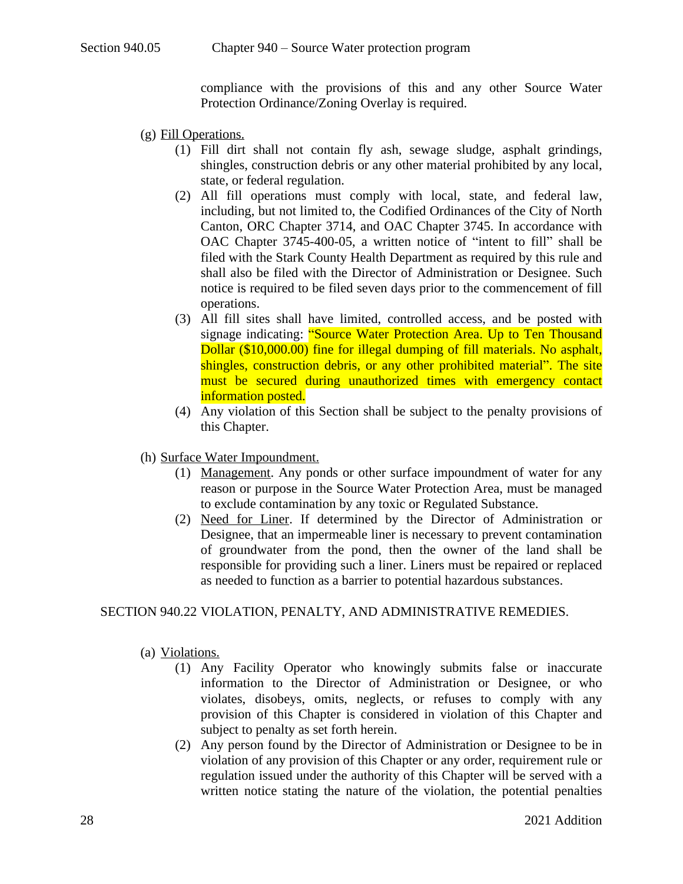compliance with the provisions of this and any other Source Water Protection Ordinance/Zoning Overlay is required.

- (g) Fill Operations.
	- (1) Fill dirt shall not contain fly ash, sewage sludge, asphalt grindings, shingles, construction debris or any other material prohibited by any local, state, or federal regulation.
	- (2) All fill operations must comply with local, state, and federal law, including, but not limited to, the Codified Ordinances of the City of North Canton, ORC Chapter 3714, and OAC Chapter 3745. In accordance with OAC Chapter 3745-400-05, a written notice of "intent to fill" shall be filed with the Stark County Health Department as required by this rule and shall also be filed with the Director of Administration or Designee. Such notice is required to be filed seven days prior to the commencement of fill operations.
	- (3) All fill sites shall have limited, controlled access, and be posted with signage indicating: "Source Water Protection Area. Up to Ten Thousand Dollar (\$10,000.00) fine for illegal dumping of fill materials. No asphalt, shingles, construction debris, or any other prohibited material". The site must be secured during unauthorized times with emergency contact information posted.
	- (4) Any violation of this Section shall be subject to the penalty provisions of this Chapter.
- (h) Surface Water Impoundment.
	- (1) Management. Any ponds or other surface impoundment of water for any reason or purpose in the Source Water Protection Area, must be managed to exclude contamination by any toxic or Regulated Substance.
	- (2) Need for Liner. If determined by the Director of Administration or Designee, that an impermeable liner is necessary to prevent contamination of groundwater from the pond, then the owner of the land shall be responsible for providing such a liner. Liners must be repaired or replaced as needed to function as a barrier to potential hazardous substances.

#### SECTION 940.22 VIOLATION, PENALTY, AND ADMINISTRATIVE REMEDIES.

(a) Violations.

- <span id="page-27-0"></span>(1) Any Facility Operator who knowingly submits false or inaccurate information to the Director of Administration or Designee, or who violates, disobeys, omits, neglects, or refuses to comply with any provision of this Chapter is considered in violation of this Chapter and subject to penalty as set forth herein.
- (2) Any person found by the Director of Administration or Designee to be in violation of any provision of this Chapter or any order, requirement rule or regulation issued under the authority of this Chapter will be served with a written notice stating the nature of the violation, the potential penalties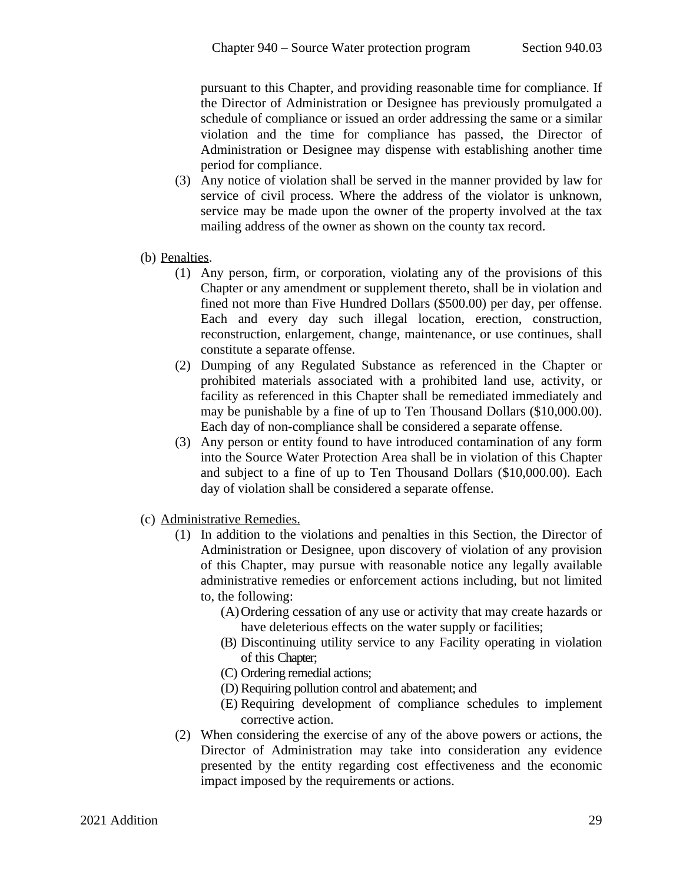pursuant to this Chapter, and providing reasonable time for compliance. If the Director of Administration or Designee has previously promulgated a schedule of compliance or issued an order addressing the same or a similar violation and the time for compliance has passed, the Director of Administration or Designee may dispense with establishing another time period for compliance.

- (3) Any notice of violation shall be served in the manner provided by law for service of civil process. Where the address of the violator is unknown, service may be made upon the owner of the property involved at the tax mailing address of the owner as shown on the county tax record.
- (b) Penalties.
	- (1) Any person, firm, or corporation, violating any of the provisions of this Chapter or any amendment or supplement thereto, shall be in violation and fined not more than Five Hundred Dollars (\$500.00) per day, per offense. Each and every day such illegal location, erection, construction, reconstruction, enlargement, change, maintenance, or use continues, shall constitute a separate offense.
	- (2) Dumping of any Regulated Substance as referenced in the Chapter or prohibited materials associated with a prohibited land use, activity, or facility as referenced in this Chapter shall be remediated immediately and may be punishable by a fine of up to Ten Thousand Dollars (\$10,000.00). Each day of non-compliance shall be considered a separate offense.
	- (3) Any person or entity found to have introduced contamination of any form into the Source Water Protection Area shall be in violation of this Chapter and subject to a fine of up to Ten Thousand Dollars (\$10,000.00). Each day of violation shall be considered a separate offense.
- (c) Administrative Remedies.
	- (1) In addition to the violations and penalties in this Section, the Director of Administration or Designee, upon discovery of violation of any provision of this Chapter, may pursue with reasonable notice any legally available administrative remedies or enforcement actions including, but not limited to, the following:
		- (A)Ordering cessation of any use or activity that may create hazards or have deleterious effects on the water supply or facilities;
		- (B) Discontinuing utility service to any Facility operating in violation of this Chapter;
		- (C) Ordering remedial actions;
		- (D) Requiring pollution control and abatement; and
		- (E) Requiring development of compliance schedules to implement corrective action.
	- (2) When considering the exercise of any of the above powers or actions, the Director of Administration may take into consideration any evidence presented by the entity regarding cost effectiveness and the economic impact imposed by the requirements or actions.